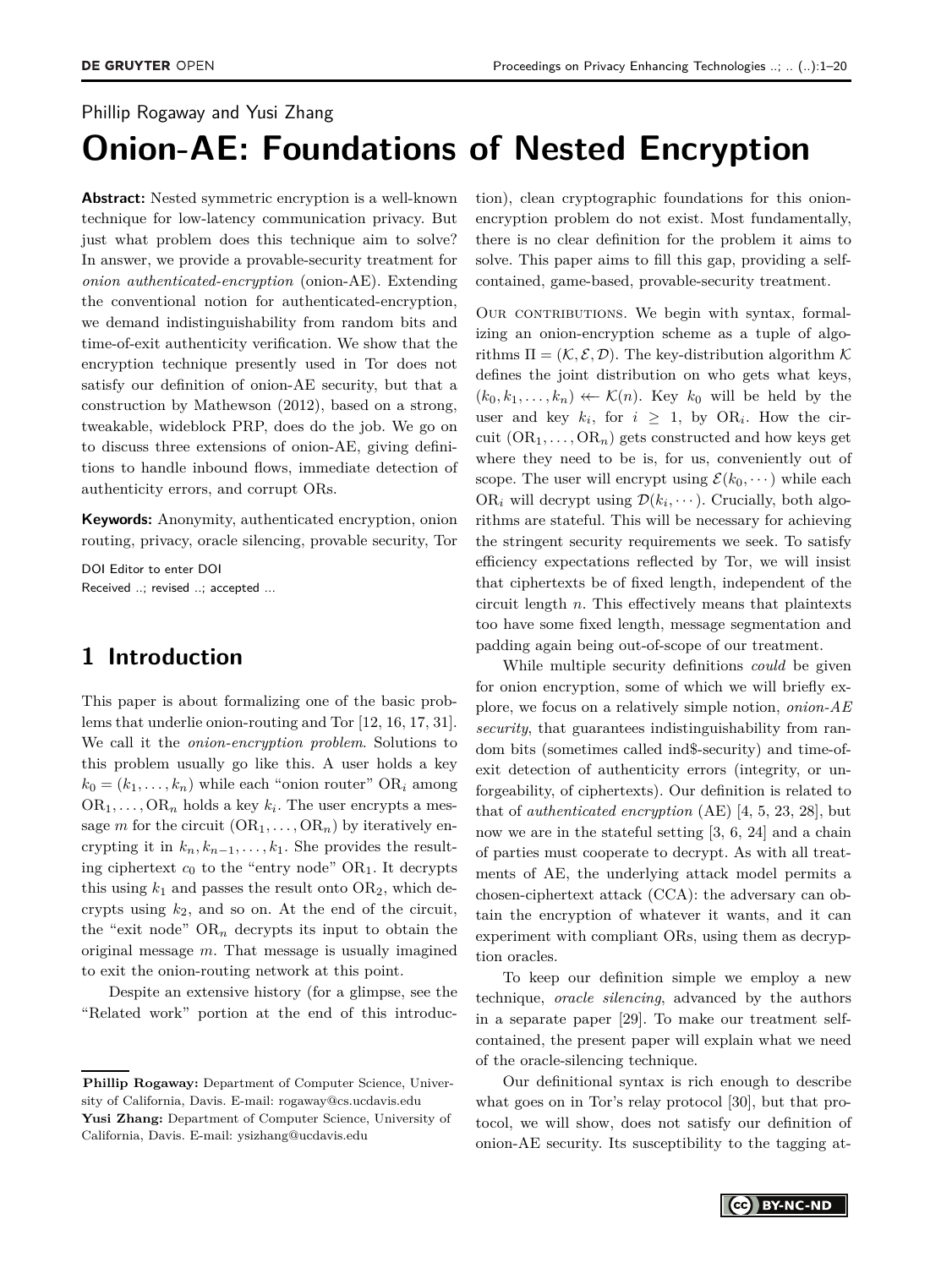# Phillip Rogaway and Yusi Zhang **Onion-AE: Foundations of Nested Encryption**

**Abstract:** Nested symmetric encryption is a well-known technique for low-latency communication privacy. But just what problem does this technique aim to solve? In answer, we provide a provable-security treatment for *onion authenticated-encryption* (onion-AE). Extending the conventional notion for authenticated-encryption, we demand indistinguishability from random bits and time-of-exit authenticity verification. We show that the encryption technique presently used in Tor does not satisfy our definition of onion-AE security, but that a construction by Mathewson (2012), based on a strong, tweakable, wideblock PRP, does do the job. We go on to discuss three extensions of onion-AE, giving definitions to handle inbound flows, immediate detection of authenticity errors, and corrupt ORs.

**Keywords:** Anonymity, authenticated encryption, onion routing, privacy, oracle silencing, provable security, Tor

DOI Editor to enter DOI Received ..; revised ..; accepted ...

# **1 Introduction**

This paper is about formalizing one of the basic problems that underlie onion-routing and Tor [\[12,](#page-13-0) [16,](#page-13-1) [17,](#page-13-2) [31\]](#page-14-0). We call it the *onion-encryption problem*. Solutions to this problem usually go like this. A user holds a key  $k_0 = (k_1, \ldots, k_n)$  while each "onion router" OR<sub>i</sub> among  $OR_1, \ldots, OR_n$  holds a key  $k_i$ . The user encrypts a message *m* for the circuit  $(OR_1, ..., OR_n)$  by iteratively encrypting it in  $k_n, k_{n-1}, \ldots, k_1$ . She provides the resulting ciphertext *c*<sup>0</sup> to the "entry node" OR1. It decrypts this using  $k_1$  and passes the result onto  $OR_2$ , which decrypts using *k*2, and so on. At the end of the circuit, the "exit node"  $OR_n$  decrypts its input to obtain the original message *m*. That message is usually imagined to exit the onion-routing network at this point.

Despite an extensive history (for a glimpse, see the "Related work" portion at the end of this introduction), clean cryptographic foundations for this onionencryption problem do not exist. Most fundamentally, there is no clear definition for the problem it aims to solve. This paper aims to fill this gap, providing a selfcontained, game-based, provable-security treatment.

OUR CONTRIBUTIONS. We begin with syntax, formalizing an onion-encryption scheme as a tuple of algorithms  $\Pi = (\mathcal{K}, \mathcal{E}, \mathcal{D})$ . The key-distribution algorithm  $\mathcal K$ defines the joint distribution on who gets what keys,  $(k_0, k_1, \ldots, k_n) \leftarrow \mathcal{K}(n)$ . Key  $k_0$  will be held by the user and key  $k_i$ , for  $i \geq 1$ , by OR<sub>*i*</sub>. How the circuit  $(OR_1, \ldots, OR_n)$  gets constructed and how keys get where they need to be is, for us, conveniently out of scope. The user will encrypt using  $\mathcal{E}(k_0, \dots)$  while each OR<sub>*i*</sub> will decrypt using  $\mathcal{D}(k_i, \dots)$ . Crucially, both algorithms are stateful. This will be necessary for achieving the stringent security requirements we seek. To satisfy efficiency expectations reflected by Tor, we will insist that ciphertexts be of fixed length, independent of the circuit length *n*. This effectively means that plaintexts too have some fixed length, message segmentation and padding again being out-of-scope of our treatment.

While multiple security definitions *could* be given for onion encryption, some of which we will briefly explore, we focus on a relatively simple notion, *onion-AE security*, that guarantees indistinguishability from random bits (sometimes called ind\$-security) and time-ofexit detection of authenticity errors (integrity, or unforgeability, of ciphertexts). Our definition is related to that of *authenticated encryption* (AE) [\[4,](#page-13-3) [5,](#page-13-4) [23,](#page-13-5) [28\]](#page-14-1), but now we are in the stateful setting [\[3,](#page-13-6) [6,](#page-13-7) [24\]](#page-13-8) and a chain of parties must cooperate to decrypt. As with all treatments of AE, the underlying attack model permits a chosen-ciphertext attack (CCA): the adversary can obtain the encryption of whatever it wants, and it can experiment with compliant ORs, using them as decryption oracles.

To keep our definition simple we employ a new technique, *oracle silencing*, advanced by the authors in a separate paper [\[29\]](#page-14-2). To make our treatment selfcontained, the present paper will explain what we need of the oracle-silencing technique.

Our definitional syntax is rich enough to describe what goes on in Tor's relay protocol [\[30\]](#page-14-3), but that protocol, we will show, does not satisfy our definition of onion-AE security. Its susceptibility to the tagging at-

**Phillip Rogaway:** Department of Computer Science, University of California, Davis. E-mail: rogaway@cs.ucdavis.edu **Yusi Zhang:** Department of Computer Science, University of California, Davis. E-mail: ysizhang@ucdavis.edu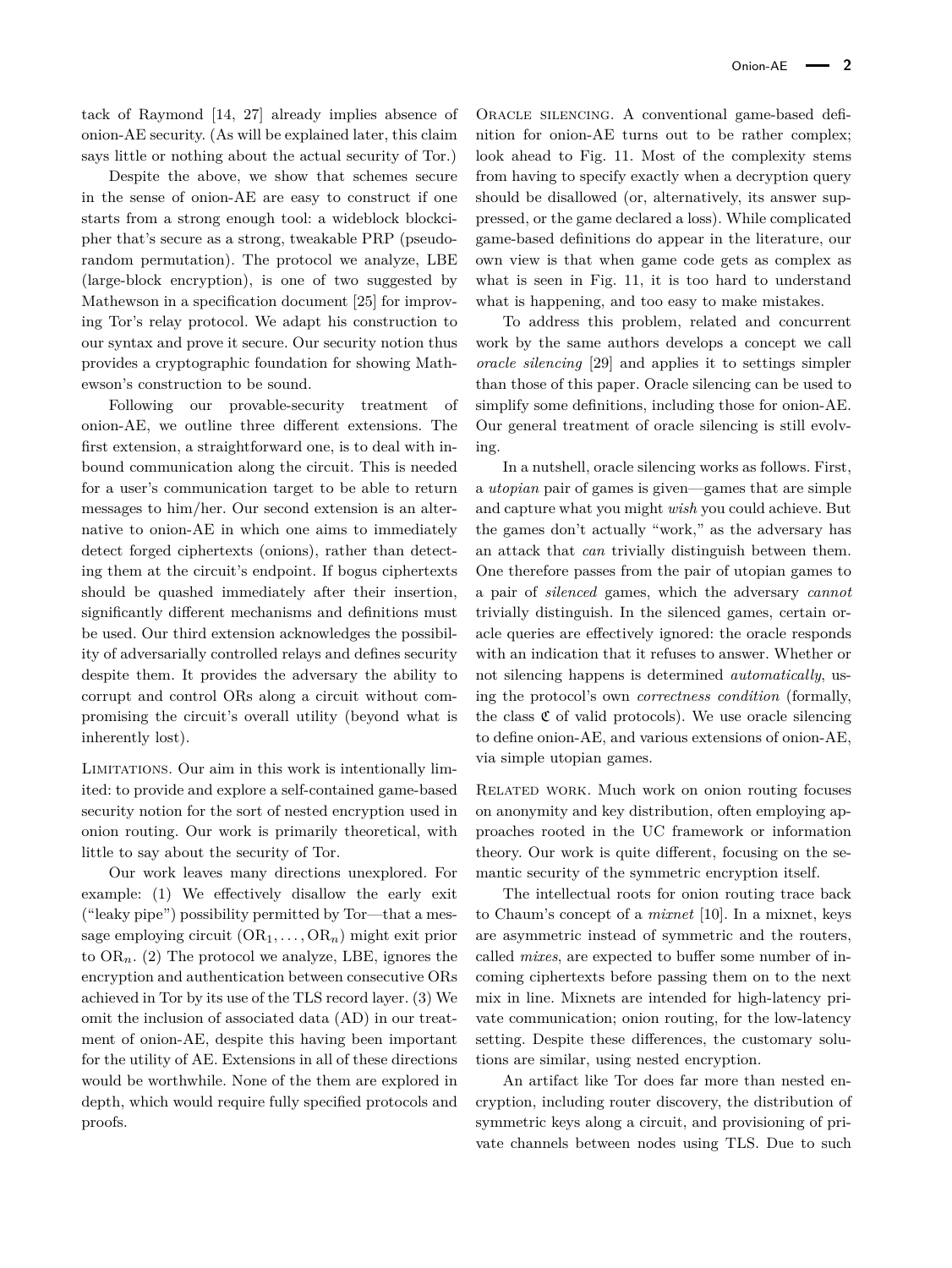tack of Raymond [\[14,](#page-13-9) [27\]](#page-13-10) already implies absence of onion-AE security. (As will be explained later, this claim says little or nothing about the actual security of Tor.)

Despite the above, we show that schemes secure in the sense of onion-AE are easy to construct if one starts from a strong enough tool: a wideblock blockcipher that's secure as a strong, tweakable PRP (pseudorandom permutation). The protocol we analyze, LBE (large-block encryption), is one of two suggested by Mathewson in a specification document [\[25\]](#page-13-11) for improving Tor's relay protocol. We adapt his construction to our syntax and prove it secure. Our security notion thus provides a cryptographic foundation for showing Mathewson's construction to be sound.

Following our provable-security treatment of onion-AE, we outline three different extensions. The first extension, a straightforward one, is to deal with inbound communication along the circuit. This is needed for a user's communication target to be able to return messages to him/her. Our second extension is an alternative to onion-AE in which one aims to immediately detect forged ciphertexts (onions), rather than detecting them at the circuit's endpoint. If bogus ciphertexts should be quashed immediately after their insertion, significantly different mechanisms and definitions must be used. Our third extension acknowledges the possibility of adversarially controlled relays and defines security despite them. It provides the adversary the ability to corrupt and control ORs along a circuit without compromising the circuit's overall utility (beyond what is inherently lost).

Limitations. Our aim in this work is intentionally limited: to provide and explore a self-contained game-based security notion for the sort of nested encryption used in onion routing. Our work is primarily theoretical, with little to say about the security of Tor.

Our work leaves many directions unexplored. For example: (1) We effectively disallow the early exit ("leaky pipe") possibility permitted by Tor—that a message employing circuit  $(OR_1, \ldots, OR_n)$  might exit prior to  $OR_n$ . (2) The protocol we analyze, LBE, ignores the encryption and authentication between consecutive ORs achieved in Tor by its use of the TLS record layer. (3) We omit the inclusion of associated data (AD) in our treatment of onion-AE, despite this having been important for the utility of AE. Extensions in all of these directions would be worthwhile. None of the them are explored in depth, which would require fully specified protocols and proofs.

Oracle silencing. A conventional game-based definition for onion-AE turns out to be rather complex; look ahead to Fig. [11.](#page-15-0) Most of the complexity stems from having to specify exactly when a decryption query should be disallowed (or, alternatively, its answer suppressed, or the game declared a loss). While complicated game-based definitions do appear in the literature, our own view is that when game code gets as complex as what is seen in Fig. [11,](#page-15-0) it is too hard to understand what is happening, and too easy to make mistakes.

To address this problem, related and concurrent work by the same authors develops a concept we call *oracle silencing* [\[29\]](#page-14-2) and applies it to settings simpler than those of this paper. Oracle silencing can be used to simplify some definitions, including those for onion-AE. Our general treatment of oracle silencing is still evolving.

In a nutshell, oracle silencing works as follows. First, a *utopian* pair of games is given—games that are simple and capture what you might *wish* you could achieve. But the games don't actually "work," as the adversary has an attack that *can* trivially distinguish between them. One therefore passes from the pair of utopian games to a pair of *silenced* games, which the adversary *cannot* trivially distinguish. In the silenced games, certain oracle queries are effectively ignored: the oracle responds with an indication that it refuses to answer. Whether or not silencing happens is determined *automatically*, using the protocol's own *correctness condition* (formally, the class  $\mathfrak C$  of valid protocols). We use oracle silencing to define onion-AE, and various extensions of onion-AE, via simple utopian games.

Related work. Much work on onion routing focuses on anonymity and key distribution, often employing approaches rooted in the UC framework or information theory. Our work is quite different, focusing on the semantic security of the symmetric encryption itself.

The intellectual roots for onion routing trace back to Chaum's concept of a *mixnet* [\[10\]](#page-13-12). In a mixnet, keys are asymmetric instead of symmetric and the routers, called *mixes*, are expected to buffer some number of incoming ciphertexts before passing them on to the next mix in line. Mixnets are intended for high-latency private communication; onion routing, for the low-latency setting. Despite these differences, the customary solutions are similar, using nested encryption.

An artifact like Tor does far more than nested encryption, including router discovery, the distribution of symmetric keys along a circuit, and provisioning of private channels between nodes using TLS. Due to such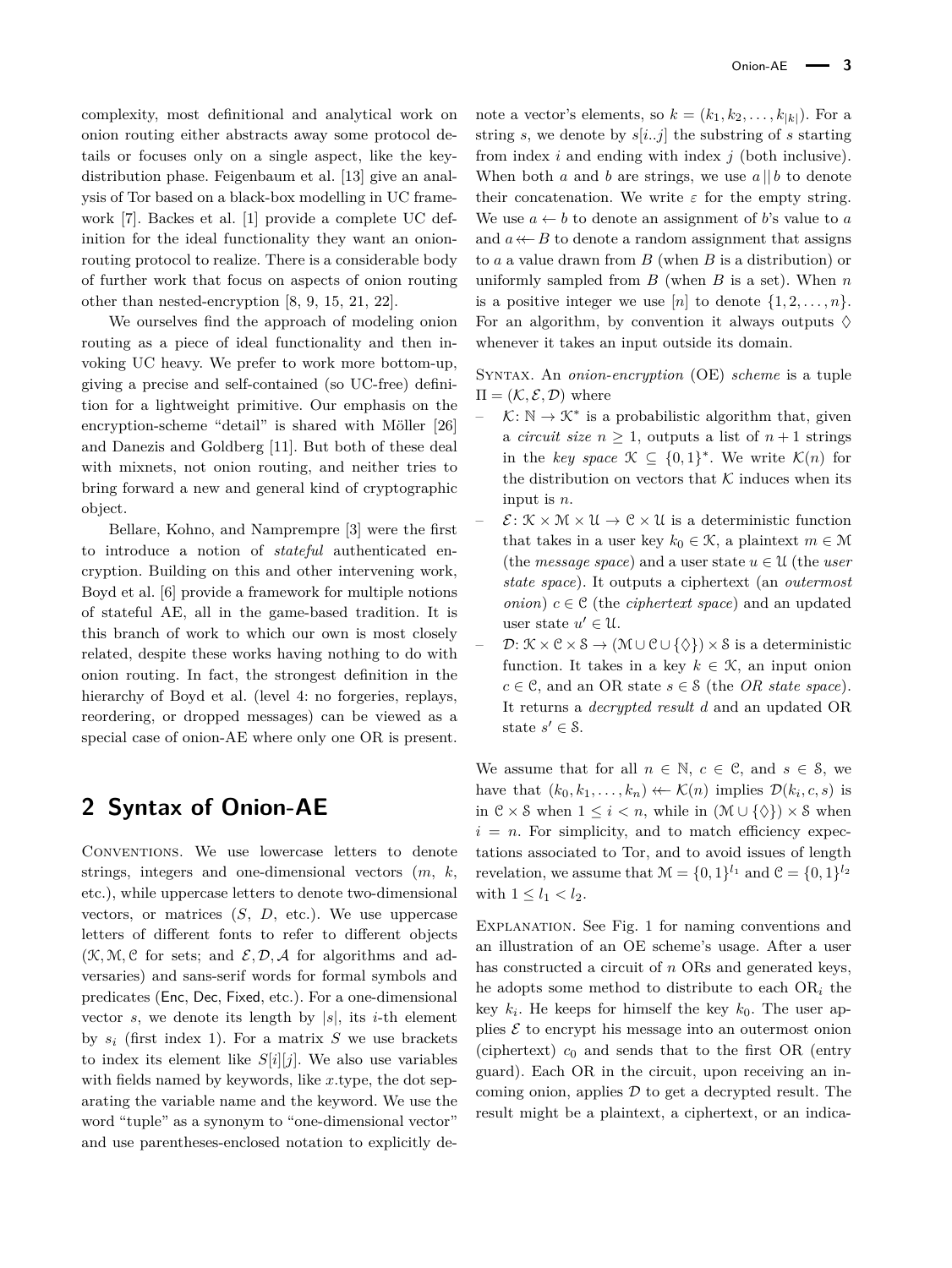complexity, most definitional and analytical work on onion routing either abstracts away some protocol details or focuses only on a single aspect, like the keydistribution phase. Feigenbaum et al. [\[13\]](#page-13-13) give an analysis of Tor based on a black-box modelling in UC framework [\[7\]](#page-13-14). Backes et al. [\[1\]](#page-12-0) provide a complete UC definition for the ideal functionality they want an onionrouting protocol to realize. There is a considerable body of further work that focus on aspects of onion routing other than nested-encryption [\[8,](#page-13-15) [9,](#page-13-16) [15,](#page-13-17) [21,](#page-13-18) [22\]](#page-13-19).

We ourselves find the approach of modeling onion routing as a piece of ideal functionality and then invoking UC heavy. We prefer to work more bottom-up, giving a precise and self-contained (so UC-free) definition for a lightweight primitive. Our emphasis on the encryption-scheme "detail" is shared with Möller [\[26\]](#page-13-20) and Danezis and Goldberg [\[11\]](#page-13-21). But both of these deal with mixnets, not onion routing, and neither tries to bring forward a new and general kind of cryptographic object.

Bellare, Kohno, and Namprempre [\[3\]](#page-13-6) were the first to introduce a notion of *stateful* authenticated encryption. Building on this and other intervening work, Boyd et al. [\[6\]](#page-13-7) provide a framework for multiple notions of stateful AE, all in the game-based tradition. It is this branch of work to which our own is most closely related, despite these works having nothing to do with onion routing. In fact, the strongest definition in the hierarchy of Boyd et al. (level 4: no forgeries, replays, reordering, or dropped messages) can be viewed as a special case of onion-AE where only one OR is present.

# **2 Syntax of Onion-AE**

Conventions. We use lowercase letters to denote strings, integers and one-dimensional vectors (*m*, *k*, etc.), while uppercase letters to denote two-dimensional vectors, or matrices  $(S, D, etc.).$  We use uppercase letters of different fonts to refer to different objects  $(\mathcal{K}, \mathcal{M}, \mathcal{C})$  for sets; and  $\mathcal{E}, \mathcal{D}, \mathcal{A}$  for algorithms and adversaries) and sans-serif words for formal symbols and predicates (Enc, Dec, Fixed, etc.). For a one-dimensional vector *s*, we denote its length by  $|s|$ , its *i*-th element by  $s_i$  (first index 1). For a matrix  $S$  we use brackets to index its element like  $S[i][j]$ . We also use variables with fields named by keywords, like *x.*type, the dot separating the variable name and the keyword. We use the word "tuple" as a synonym to "one-dimensional vector" and use parentheses-enclosed notation to explicitly de-

note a vector's elements, so  $k = (k_1, k_2, \ldots, k_{|k|})$ . For a string *s*, we denote by *s*[*i..j*] the substring of *s* starting from index *i* and ending with index *j* (both inclusive). When both *a* and *b* are strings, we use  $a \parallel b$  to denote their concatenation. We write  $\varepsilon$  for the empty string. We use  $a \leftarrow b$  to denote an assignment of *b*'s value to *a* and  $a \leftarrow B$  to denote a random assignment that assigns to *a* a value drawn from *B* (when *B* is a distribution) or uniformly sampled from *B* (when *B* is a set). When *n* is a positive integer we use  $[n]$  to denote  $\{1, 2, \ldots, n\}$ . For an algorithm, by convention it always outputs  $\Diamond$ whenever it takes an input outside its domain.

Syntax. An *onion-encryption* (OE) *scheme* is a tuple  $\Pi = (\mathcal{K}, \mathcal{E}, \mathcal{D})$  where

- $\vdash$   $\mathcal{K}: \mathbb{N} \to \mathcal{K}^*$  is a probabilistic algorithm that, given a *circuit size*  $n \geq 1$ , outputs a list of  $n+1$  strings in the *key space*  $\mathcal{K} \subseteq \{0,1\}^*$ . We write  $\mathcal{K}(n)$  for the distribution on vectors that  $K$  induces when its input is *n*.
- $\mathcal{E}: \mathcal{K} \times \mathcal{M} \times \mathcal{U} \rightarrow \mathcal{C} \times \mathcal{U}$  is a deterministic function that takes in a user key  $k_0 \in \mathcal{K}$ , a plaintext  $m \in \mathcal{M}$ (the *message space*) and a user state  $u \in U$  (the *user state space*). It outputs a ciphertext (an *outermost onion*)  $c \in \mathcal{C}$  (the *ciphertext space*) and an updated user state  $u' \in \mathcal{U}$ .
- $\mathcal{D}: \mathcal{K} \times \mathcal{C} \times \mathcal{S} \rightarrow (\mathcal{M} \cup \mathcal{C} \cup \{\Diamond\}) \times \mathcal{S}$  is a deterministic function. It takes in a key  $k \in \mathcal{K}$ , an input onion  $c \in \mathcal{C}$ , and an OR state  $s \in \mathcal{S}$  (the *OR state space*). It returns a *decrypted result d* and an updated OR state  $s' \in \mathcal{S}$ .

We assume that for all  $n \in \mathbb{N}$ ,  $c \in \mathcal{C}$ , and  $s \in \mathcal{S}$ , we have that  $(k_0, k_1, \ldots, k_n) \leftarrow \mathcal{K}(n)$  implies  $\mathcal{D}(k_i, c, s)$  is in  $\mathcal{C} \times \mathcal{S}$  when  $1 \leq i < n$ , while in  $(\mathcal{M} \cup {\{\Diamond\}}) \times \mathcal{S}$  when  $i = n$ . For simplicity, and to match efficiency expectations associated to Tor, and to avoid issues of length revelation, we assume that  $\mathcal{M} = \{0, 1\}^{l_1}$  and  $\mathcal{C} = \{0, 1\}^{l_2}$ with  $1 \leq l_1 < l_2$ .

Explanation. See Fig. [1](#page-3-0) for naming conventions and an illustration of an OE scheme's usage. After a user has constructed a circuit of *n* ORs and generated keys, he adopts some method to distribute to each OR*<sup>i</sup>* the key  $k_i$ . He keeps for himself the key  $k_0$ . The user applies  $\mathcal E$  to encrypt his message into an outermost onion (ciphertext)  $c_0$  and sends that to the first OR (entry guard). Each OR in the circuit, upon receiving an incoming onion, applies  $\mathcal D$  to get a decrypted result. The result might be a plaintext, a ciphertext, or an indica-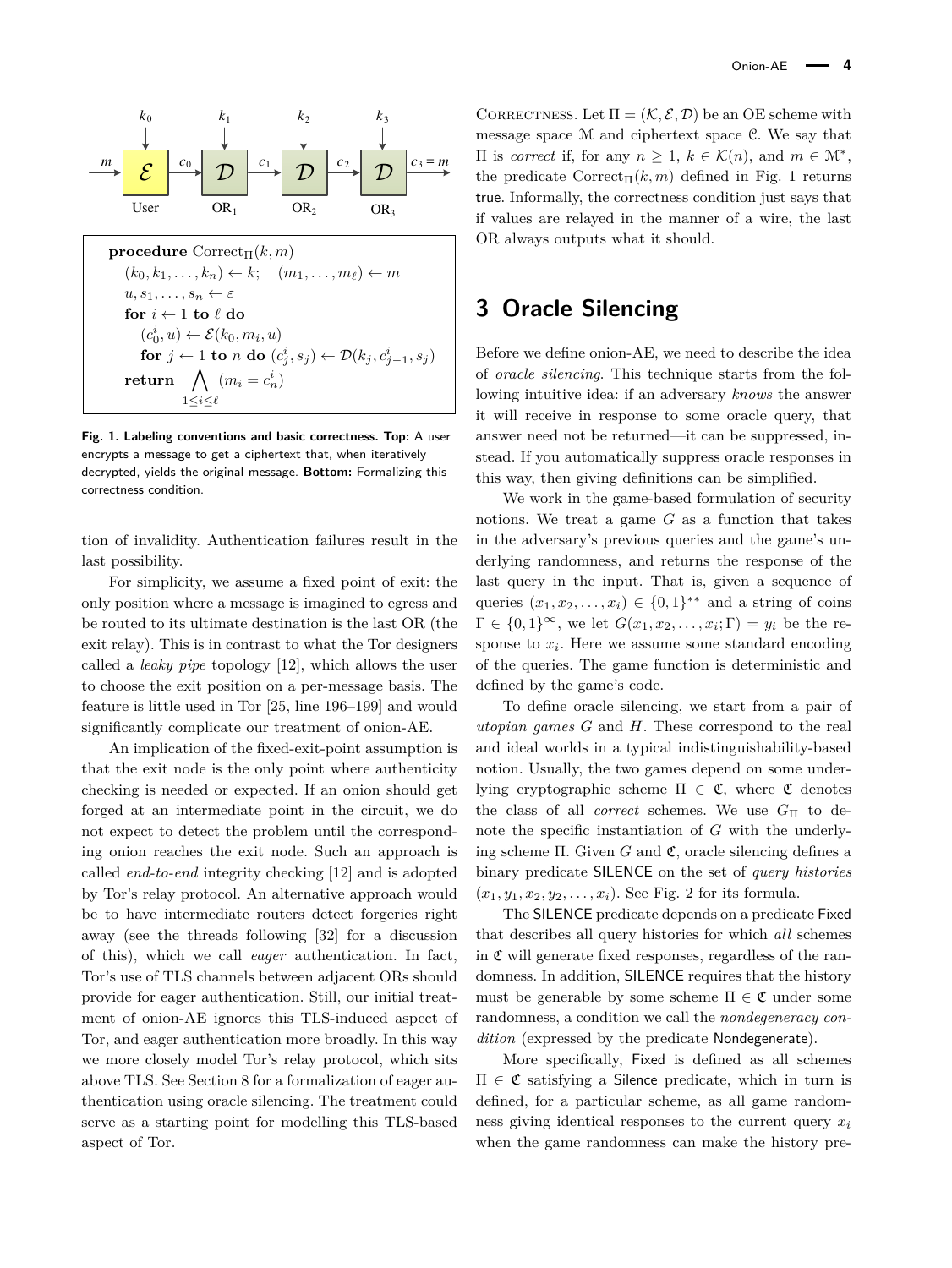<span id="page-3-0"></span>

**Fig. 1. Labeling conventions and basic correctness. Top:** A user encrypts a message to get a ciphertext that, when iteratively decrypted, yields the original message. **Bottom:** Formalizing this correctness condition.

tion of invalidity. Authentication failures result in the last possibility.

For simplicity, we assume a fixed point of exit: the only position where a message is imagined to egress and be routed to its ultimate destination is the last OR (the exit relay). This is in contrast to what the Tor designers called a *leaky pipe* topology [\[12\]](#page-13-0), which allows the user to choose the exit position on a per-message basis. The feature is little used in Tor [\[25,](#page-13-11) line 196–199] and would significantly complicate our treatment of onion-AE.

An implication of the fixed-exit-point assumption is that the exit node is the only point where authenticity checking is needed or expected. If an onion should get forged at an intermediate point in the circuit, we do not expect to detect the problem until the corresponding onion reaches the exit node. Such an approach is called *end-to-end* integrity checking [\[12\]](#page-13-0) and is adopted by Tor's relay protocol. An alternative approach would be to have intermediate routers detect forgeries right away (see the threads following [\[32\]](#page-14-4) for a discussion of this), which we call *eager* authentication. In fact, Tor's use of TLS channels between adjacent ORs should provide for eager authentication. Still, our initial treatment of onion-AE ignores this TLS-induced aspect of Tor, and eager authentication more broadly. In this way we more closely model Tor's relay protocol, which sits above TLS. See Section [8](#page-9-0) for a formalization of eager authentication using oracle silencing. The treatment could serve as a starting point for modelling this TLS-based aspect of Tor.

CORRECTNESS. Let  $\Pi = (\mathcal{K}, \mathcal{E}, \mathcal{D})$  be an OE scheme with message space M and ciphertext space C. We say that  $\Pi$  is *correct* if, for any *n* ≥ 1, *k* ∈ K(*n*), and *m* ∈ M<sup>\*</sup>, the predicate  $\text{Correct}_{\Pi}(k,m)$  defined in Fig. [1](#page-3-0) returns true. Informally, the correctness condition just says that if values are relayed in the manner of a wire, the last OR always outputs what it should.

# **3 Oracle Silencing**

Before we define onion-AE, we need to describe the idea of *oracle silencing*. This technique starts from the following intuitive idea: if an adversary *knows* the answer it will receive in response to some oracle query, that answer need not be returned—it can be suppressed, instead. If you automatically suppress oracle responses in this way, then giving definitions can be simplified.

We work in the game-based formulation of security notions. We treat a game *G* as a function that takes in the adversary's previous queries and the game's underlying randomness, and returns the response of the last query in the input. That is, given a sequence of queries  $(x_1, x_2, \ldots, x_i) \in \{0, 1\}^{**}$  and a string of coins  $\Gamma \in \{0,1\}^{\infty}$ , we let  $G(x_1, x_2, \ldots, x_i; \Gamma) = y_i$  be the response to *x<sup>i</sup>* . Here we assume some standard encoding of the queries. The game function is deterministic and defined by the game's code.

To define oracle silencing, we start from a pair of *utopian games G* and *H*. These correspond to the real and ideal worlds in a typical indistinguishability-based notion. Usually, the two games depend on some underlying cryptographic scheme  $\Pi \in \mathfrak{C}$ , where  $\mathfrak{C}$  denotes the class of all *correct* schemes. We use *G*<sup>Π</sup> to denote the specific instantiation of *G* with the underlying scheme Π. Given *G* and C, oracle silencing defines a binary predicate SILENCE on the set of *query histories*  $(x_1, y_1, x_2, y_2, \ldots, x_i)$ . See Fig. [2](#page-4-0) for its formula.

The SILENCE predicate depends on a predicate Fixed that describes all query histories for which *all* schemes in  $\mathfrak C$  will generate fixed responses, regardless of the randomness. In addition, SILENCE requires that the history must be generable by some scheme  $\Pi \in \mathfrak{C}$  under some randomness, a condition we call the *nondegeneracy condition* (expressed by the predicate Nondegenerate).

More specifically, Fixed is defined as all schemes  $\Pi \in \mathfrak{C}$  satisfying a Silence predicate, which in turn is defined, for a particular scheme, as all game randomness giving identical responses to the current query *x<sup>i</sup>* when the game randomness can make the history pre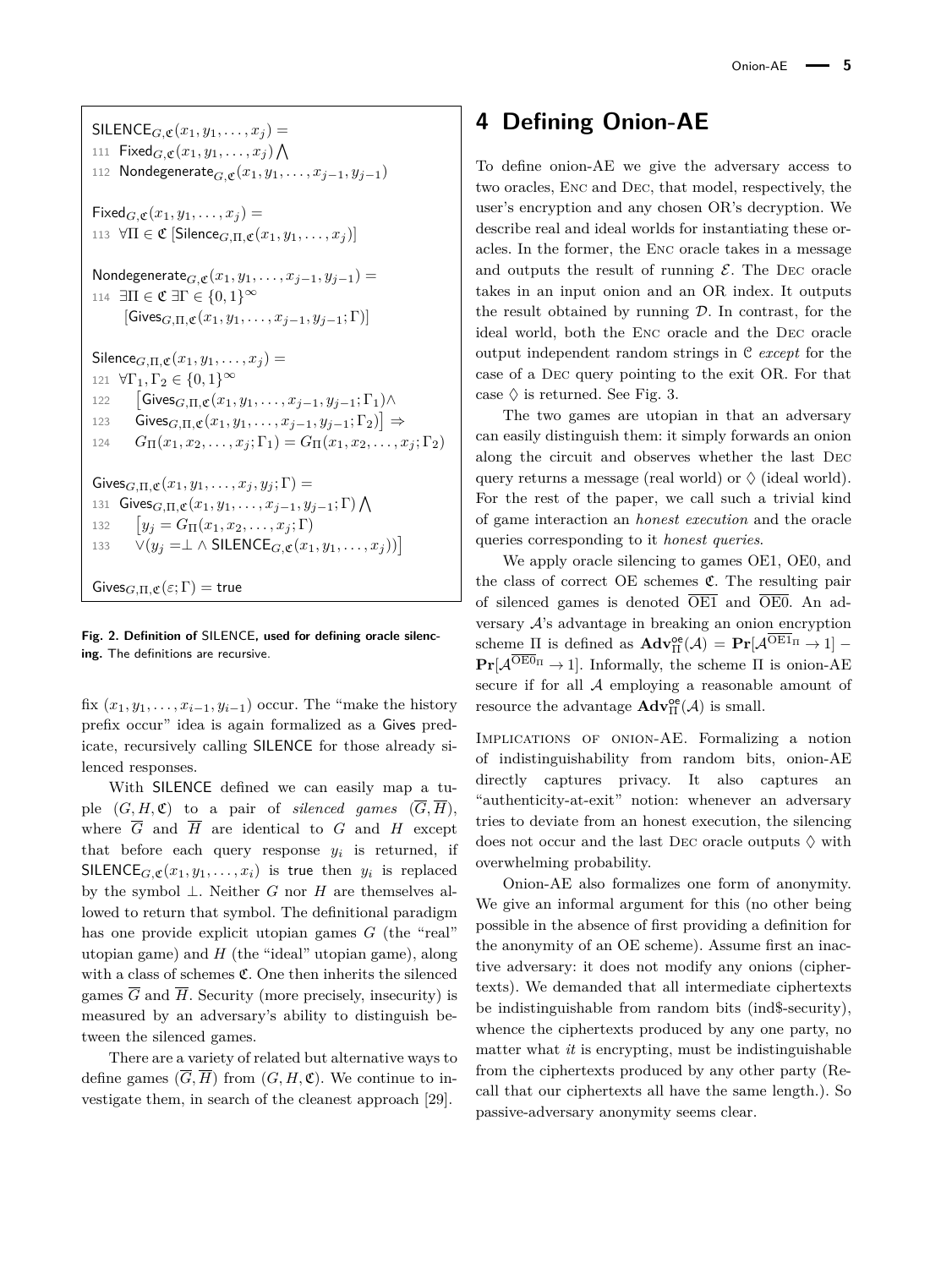<span id="page-4-0"></span> $SILENCE$ *G*, $\mathfrak{C}(x_1, y_1, \ldots, x_j) =$ 111  $\mathsf{Fixed}_{G,\mathfrak{C}}(x_1,y_1,\ldots,x_j)\bigwedge$ 112 Nondegenerate<sub>G</sub><sub>c</sub>( $x_1, y_1, \ldots, x_{i-1}, y_{i-1}$ )  $Fixed_{G,\mathfrak{C}}(x_1,y_1,\ldots,x_i)=$ 113  $\forall \Pi \in \mathfrak{C}$  [Silence<sub>*G,* $\Pi$ *,* $\mathfrak{C}(x_1, y_1, \ldots, x_i)$ ]</sub> Nondegenerate<sub>*G*, $\mathfrak{C}(x_1, y_1, \ldots, x_{j-1}, y_{j-1}) =$ </sub> 114  $\exists \Pi \in \mathfrak{C} \; \exists \Gamma \in \{0,1\}^\infty$  $[Gives_{G,\Pi,\mathfrak{C}}(x_1,y_1,\ldots,x_{i-1},y_{i-1};\Gamma)]$  $Silence_{G,\Pi,\mathfrak{C}}(x_1,y_1,\ldots,x_i) =$ 121  $\forall \Gamma_1, \Gamma_2 \in \{0, 1\}^\infty$ 122  $\mathsf{Gives}_{G,\Pi,\mathfrak{C}}(x_1,y_1,\ldots,x_{j-1},y_{j-1};\Gamma_1)\wedge$ 123 Gives $_{G,\Pi,\mathfrak{C}}(x_1,y_1,\ldots,x_{j-1},y_{j-1};\Gamma_2)$  ⇒ 124  $G_{\Pi}(x_1, x_2, \ldots, x_j; \Gamma_1) = G_{\Pi}(x_1, x_2, \ldots, x_j; \Gamma_2)$  $Gives_{G,\Pi,\mathfrak{C}}(x_1,y_1,\ldots,x_i,y_i;\Gamma)$  = 131 Gives $_{G,\Pi,\mathfrak{C}}(x_1,y_1,\ldots,x_{j-1},y_{j-1};\Gamma)\bigwedge$ 132  $y_j = G_{\Pi}(x_1, x_2, \ldots, x_j; \Gamma)$ 133  $V(y_j = \perp \wedge \text{SILENCE}_{G, \mathfrak{C}}(x_1, y_1, \dots, x_i))$  $Gives_{G,\Pi,\mathfrak{C}}(\varepsilon;\Gamma)=$  true

**Fig. 2. Definition of** SILENCE**, used for defining oracle silencing.** The definitions are recursive.

fix  $(x_1, y_1, \ldots, x_{i-1}, y_{i-1})$  occur. The "make the history" prefix occur" idea is again formalized as a Gives predicate, recursively calling SILENCE for those already silenced responses.

With SILENCE defined we can easily map a tuple  $(G, H, \mathfrak{C})$  to a pair of *silenced games*  $(\overline{G}, \overline{H})$ , where  $\overline{G}$  and  $\overline{H}$  are identical to  $G$  and  $H$  except that before each query response  $y_i$  is returned, if SILENCE<sub>*G*,  $\mathfrak{C}(x_1, y_1, \ldots, x_i)$  is true then  $y_i$  is replaced</sub> by the symbol ⊥. Neither *G* nor *H* are themselves allowed to return that symbol. The definitional paradigm has one provide explicit utopian games *G* (the "real" utopian game) and *H* (the "ideal" utopian game), along with a class of schemes  $\mathfrak{C}$ . One then inherits the silenced games  $\overline{G}$  and  $\overline{H}$ . Security (more precisely, insecurity) is measured by an adversary's ability to distinguish between the silenced games.

There are a variety of related but alternative ways to define games  $(\overline{G}, \overline{H})$  from  $(G, H, \mathfrak{C})$ . We continue to investigate them, in search of the cleanest approach [\[29\]](#page-14-2).

# **4 Defining Onion-AE**

To define onion-AE we give the adversary access to two oracles, Enc and Dec, that model, respectively, the user's encryption and any chosen OR's decryption. We describe real and ideal worlds for instantiating these oracles. In the former, the Enc oracle takes in a message and outputs the result of running  $\mathcal{E}$ . The DEC oracle takes in an input onion and an OR index. It outputs the result obtained by running  $\mathcal{D}$ . In contrast, for the ideal world, both the Enc oracle and the Dec oracle output independent random strings in C *except* for the case of a Dec query pointing to the exit OR. For that case  $\Diamond$  is returned. See Fig. [3.](#page-5-0)

The two games are utopian in that an adversary can easily distinguish them: it simply forwards an onion along the circuit and observes whether the last Dec query returns a message (real world) or  $\Diamond$  (ideal world). For the rest of the paper, we call such a trivial kind of game interaction an *honest execution* and the oracle queries corresponding to it *honest queries*.

We apply oracle silencing to games OE1, OE0, and the class of correct  $OE$  schemes  $C$ . The resulting pair of silenced games is denoted  $\overline{OE1}$  and  $\overline{OE0}$ . An adversary A's advantage in breaking an onion encryption scheme  $\Pi$  is defined as  $\mathbf{Adv}_{\Pi}^{\oe}(\mathcal{A}) = \mathbf{Pr}[\mathcal{A}^{\overline{O}\to1} \Pi \to 1]$  $\Pr[\mathcal{A}^{\text{OEO}_{\Pi}} \to 1]$ . Informally, the scheme  $\Pi$  is onion-AE secure if for all A employing a reasonable amount of resource the advantage  $\mathbf{Adv}_{\Pi}^{\oe}(\mathcal{A})$  is small.

Implications of onion-AE. Formalizing a notion of indistinguishability from random bits, onion-AE directly captures privacy. It also captures an "authenticity-at-exit" notion: whenever an adversary tries to deviate from an honest execution, the silencing does not occur and the last DEC oracle outputs  $\Diamond$  with overwhelming probability.

Onion-AE also formalizes one form of anonymity. We give an informal argument for this (no other being possible in the absence of first providing a definition for the anonymity of an OE scheme). Assume first an inactive adversary: it does not modify any onions (ciphertexts). We demanded that all intermediate ciphertexts be indistinguishable from random bits (ind\$-security), whence the ciphertexts produced by any one party, no matter what *it* is encrypting, must be indistinguishable from the ciphertexts produced by any other party (Recall that our ciphertexts all have the same length.). So passive-adversary anonymity seems clear.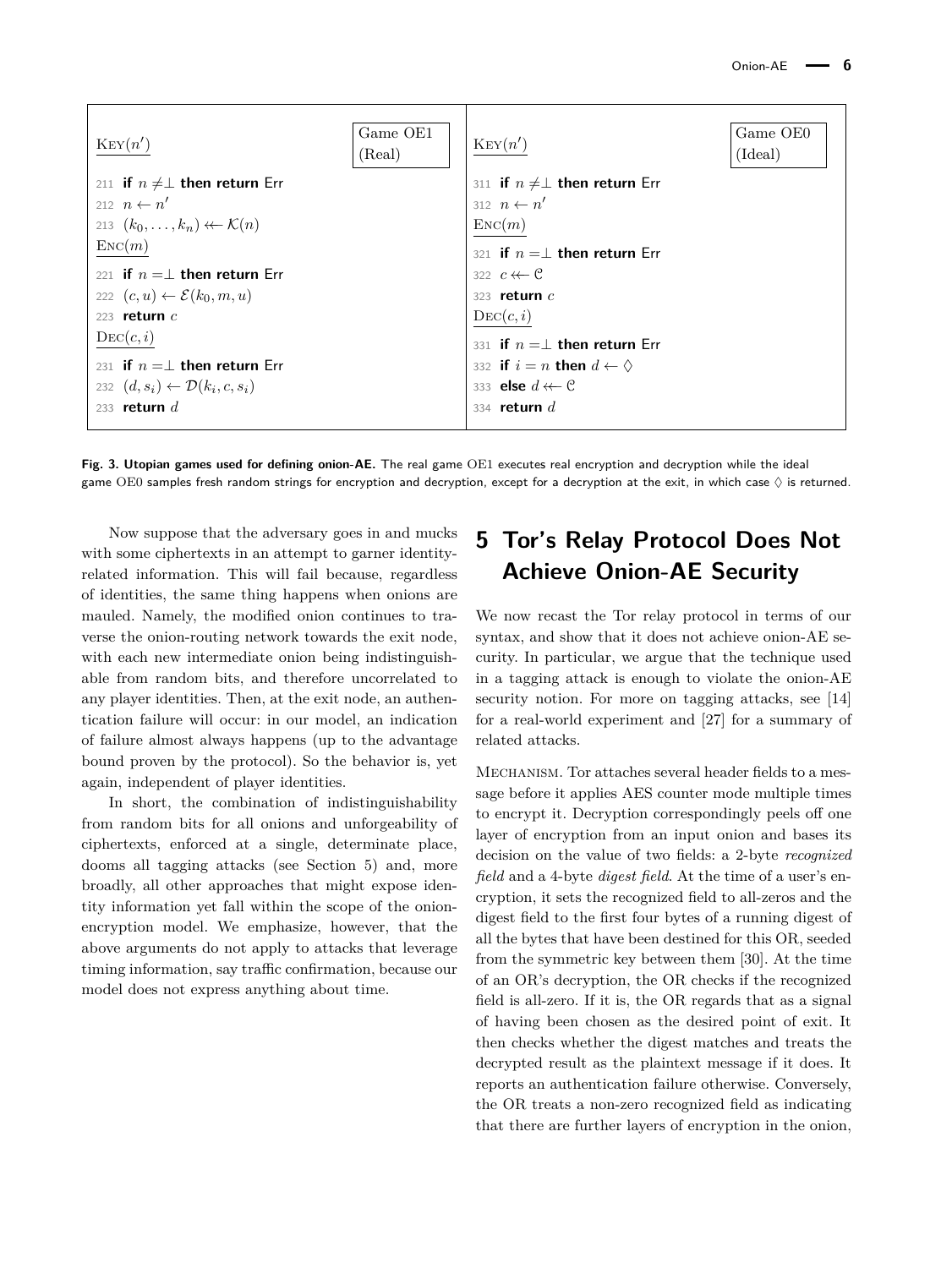<span id="page-5-0"></span>

| $\text{Key}(n')$                                   | Game OE1<br>(Real) | Ker(n')                                     | Game OE0<br>(Ideal) |
|----------------------------------------------------|--------------------|---------------------------------------------|---------------------|
| 211 if $n \neq \perp$ then return Err              |                    | 311 if $n \neq \perp$ then return Err       |                     |
| 212 $n \leftarrow n'$                              |                    | 312 $n \leftarrow n'$                       |                     |
| 213 $(k_0,\ldots,k_n) \leftarrow \mathcal{K}(n)$   |                    | $\text{Enc}(m)$                             |                     |
| $\text{Enc}(m)$                                    |                    | 321 if $n = \perp$ then return Err          |                     |
| 221 if $n = \perp$ then return Err                 |                    | 322 $c \leftarrow c$                        |                     |
| 222 $(c, u) \leftarrow \mathcal{E}(k_0, m, u)$     |                    | 323 return $c$                              |                     |
| 223 return $c$                                     |                    | $\mathrm{DEC}(c,i)$                         |                     |
| $\mathrm{Dec}(c, i)$                               |                    | 331 if $n = \perp$ then return Err          |                     |
| 231 if $n = \perp$ then return Err                 |                    | 332 if $i = n$ then $d \leftarrow \Diamond$ |                     |
| 232 $(d, s_i) \leftarrow \mathcal{D}(k_i, c, s_i)$ |                    | 333 <b>else</b> $d \leftarrow \mathcal{C}$  |                     |
| 233 return $d$                                     |                    | 334 return $d$                              |                     |

**Fig. 3. Utopian games used for defining onion-AE.** The real game OE1 executes real encryption and decryption while the ideal game OE0 samples fresh random strings for encryption and decryption, except for a decryption at the exit, in which case  $\Diamond$  is returned.

Now suppose that the adversary goes in and mucks with some ciphertexts in an attempt to garner identityrelated information. This will fail because, regardless of identities, the same thing happens when onions are mauled. Namely, the modified onion continues to traverse the onion-routing network towards the exit node, with each new intermediate onion being indistinguishable from random bits, and therefore uncorrelated to any player identities. Then, at the exit node, an authentication failure will occur: in our model, an indication of failure almost always happens (up to the advantage bound proven by the protocol). So the behavior is, yet again, independent of player identities.

In short, the combination of indistinguishability from random bits for all onions and unforgeability of ciphertexts, enforced at a single, determinate place, dooms all tagging attacks (see Section [5\)](#page-5-1) and, more broadly, all other approaches that might expose identity information yet fall within the scope of the onionencryption model. We emphasize, however, that the above arguments do not apply to attacks that leverage timing information, say traffic confirmation, because our model does not express anything about time.

# <span id="page-5-1"></span>**5 Tor's Relay Protocol Does Not Achieve Onion-AE Security**

We now recast the Tor relay protocol in terms of our syntax, and show that it does not achieve onion-AE security. In particular, we argue that the technique used in a tagging attack is enough to violate the onion-AE security notion. For more on tagging attacks, see [\[14\]](#page-13-9) for a real-world experiment and [\[27\]](#page-13-10) for a summary of related attacks.

Mechanism. Tor attaches several header fields to a message before it applies AES counter mode multiple times to encrypt it. Decryption correspondingly peels off one layer of encryption from an input onion and bases its decision on the value of two fields: a 2-byte *recognized field* and a 4-byte *digest field*. At the time of a user's encryption, it sets the recognized field to all-zeros and the digest field to the first four bytes of a running digest of all the bytes that have been destined for this OR, seeded from the symmetric key between them [\[30\]](#page-14-3). At the time of an OR's decryption, the OR checks if the recognized field is all-zero. If it is, the OR regards that as a signal of having been chosen as the desired point of exit. It then checks whether the digest matches and treats the decrypted result as the plaintext message if it does. It reports an authentication failure otherwise. Conversely, the OR treats a non-zero recognized field as indicating that there are further layers of encryption in the onion,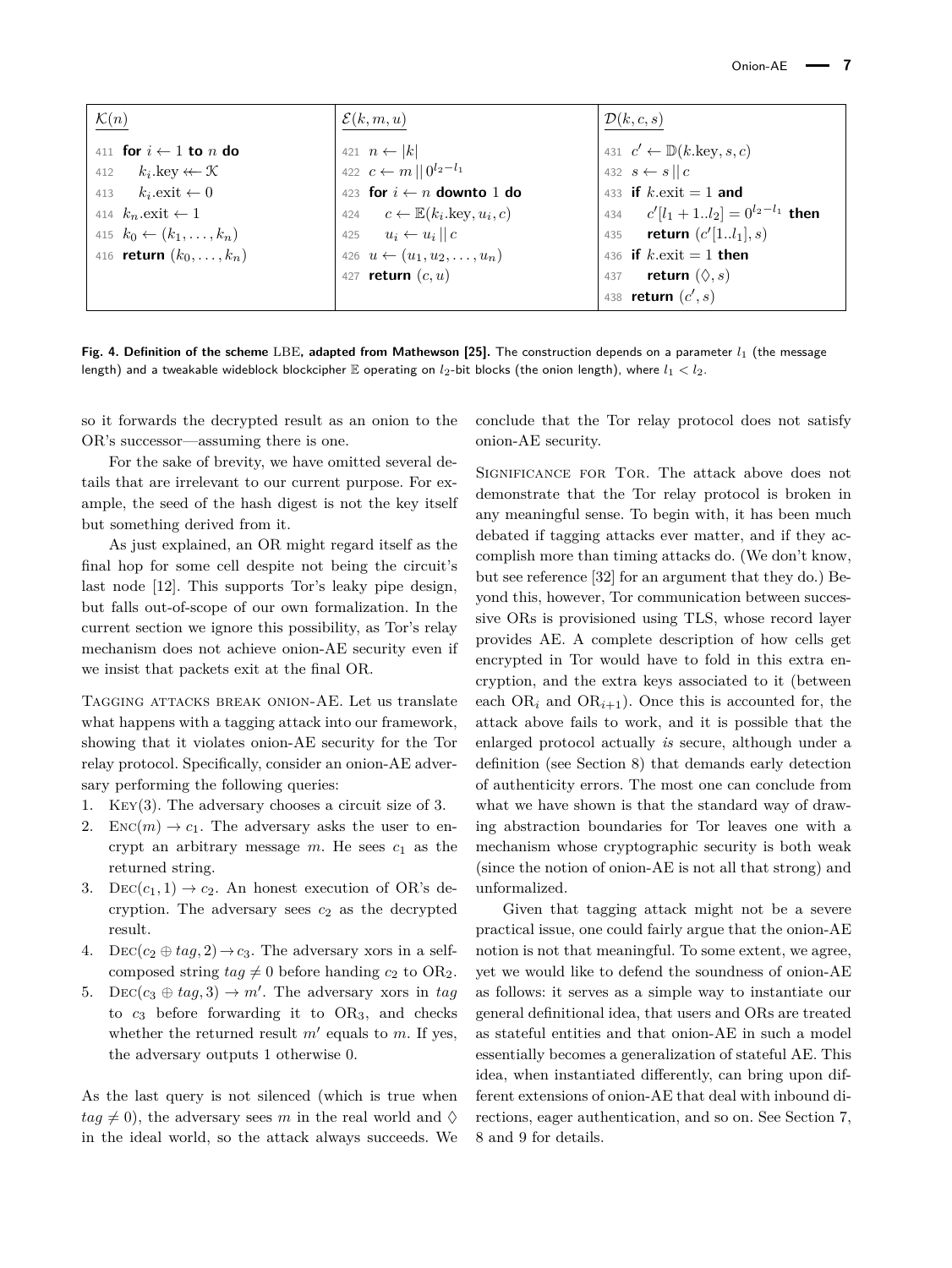<span id="page-6-0"></span>

| $\underline{\mathcal{K}(n)}$               | $\mathcal{E}(k,m,u)$                                  | $\mathcal{D}(k,c,s)$                               |
|--------------------------------------------|-------------------------------------------------------|----------------------------------------------------|
| 411 for $i \leftarrow 1$ to n do           | 421 $n \leftarrow  k $                                | 431 $c' \leftarrow \mathbb{D}(k.\text{key}, s, c)$ |
| $k_i$ .key $\leftarrow \mathcal{K}$<br>412 | 422 $c \leftarrow m    0^{l_2 - l_1}$                 | 432 $s \leftarrow s    c$                          |
| 413 $k_i$ . exit $\leftarrow 0$            | 423 for $i \leftarrow n$ downto 1 do                  | 433 if $k$ , exit = 1 and                          |
| 414 $k_n$ exit $\leftarrow$ 1              | 424 $c \leftarrow \mathbb{E}(k_i.\text{key}, u_i, c)$ | 434 $c'[l_1+1l_2]=0^{l_2-l_1}$ then                |
| 415 $k_0 \leftarrow (k_1, \ldots, k_n)$    | 425 $u_i \leftarrow u_i    c$                         | 435 <b>return</b> $(c'[1l_1], s)$                  |
| 416 <b>return</b> $(k_0, , k_n)$           | 426 $u \leftarrow (u_1, u_2, \dots, u_n)$             | 436 if $k$ exit = 1 then                           |
|                                            | 427 <b>return</b> $(c, u)$                            | 437 <b>return</b> $(\Diamond, s)$                  |
|                                            |                                                       | 438 return $(c', s)$                               |

**Fig. 4. Definition of the scheme** LBE, adapted from Mathewson [\[25\]](#page-13-11). The construction depends on a parameter  $l_1$  (the message length) and a tweakable wideblock blockcipher E operating on *l*2-bit blocks (the onion length), where *l*<sup>1</sup> *< l*2.

so it forwards the decrypted result as an onion to the OR's successor—assuming there is one.

For the sake of brevity, we have omitted several details that are irrelevant to our current purpose. For example, the seed of the hash digest is not the key itself but something derived from it.

As just explained, an OR might regard itself as the final hop for some cell despite not being the circuit's last node [\[12\]](#page-13-0). This supports Tor's leaky pipe design, but falls out-of-scope of our own formalization. In the current section we ignore this possibility, as Tor's relay mechanism does not achieve onion-AE security even if we insist that packets exit at the final OR.

Tagging attacks break onion-AE. Let us translate what happens with a tagging attack into our framework, showing that it violates onion-AE security for the Tor relay protocol. Specifically, consider an onion-AE adversary performing the following queries:

- 1. Key(3). The adversary chooses a circuit size of 3.
- 2. ENC(*m*)  $\rightarrow$  *c*<sub>1</sub>. The adversary asks the user to encrypt an arbitrary message  $m$ . He sees  $c_1$  as the returned string.
- 3. DEC( $c_1$ , 1)  $\rightarrow$   $c_2$ . An honest execution of OR's decryption. The adversary sees  $c_2$  as the decrypted result.
- 4. Dec( $c_2 \oplus tag, 2$ )  $\rightarrow c_3$ . The adversary xors in a selfcomposed string  $tag \neq 0$  before handing  $c_2$  to OR<sub>2</sub>.
- 5. DEC( $c_3 \oplus tag, 3$ )  $\rightarrow m'$ . The adversary xors in *tag* to *c*<sup>3</sup> before forwarding it to OR3, and checks whether the returned result  $m'$  equals to  $m$ . If yes, the adversary outputs 1 otherwise 0.

As the last query is not silenced (which is true when  $taq \neq 0$ , the adversary sees *m* in the real world and  $\diamond$ in the ideal world, so the attack always succeeds. We conclude that the Tor relay protocol does not satisfy onion-AE security.

Significance for Tor. The attack above does not demonstrate that the Tor relay protocol is broken in any meaningful sense. To begin with, it has been much debated if tagging attacks ever matter, and if they accomplish more than timing attacks do. (We don't know, but see reference [\[32\]](#page-14-4) for an argument that they do.) Beyond this, however, Tor communication between successive ORs is provisioned using TLS, whose record layer provides AE. A complete description of how cells get encrypted in Tor would have to fold in this extra encryption, and the extra keys associated to it (between each  $OR_i$  and  $OR_{i+1}$ ). Once this is accounted for, the attack above fails to work, and it is possible that the enlarged protocol actually *is* secure, although under a definition (see Section [8\)](#page-9-0) that demands early detection of authenticity errors. The most one can conclude from what we have shown is that the standard way of drawing abstraction boundaries for Tor leaves one with a mechanism whose cryptographic security is both weak (since the notion of onion-AE is not all that strong) and unformalized.

Given that tagging attack might not be a severe practical issue, one could fairly argue that the onion-AE notion is not that meaningful. To some extent, we agree, yet we would like to defend the soundness of onion-AE as follows: it serves as a simple way to instantiate our general definitional idea, that users and ORs are treated as stateful entities and that onion-AE in such a model essentially becomes a generalization of stateful AE. This idea, when instantiated differently, can bring upon different extensions of onion-AE that deal with inbound directions, eager authentication, and so on. See Section [7,](#page-8-0) [8](#page-9-0) and [9](#page-11-0) for details.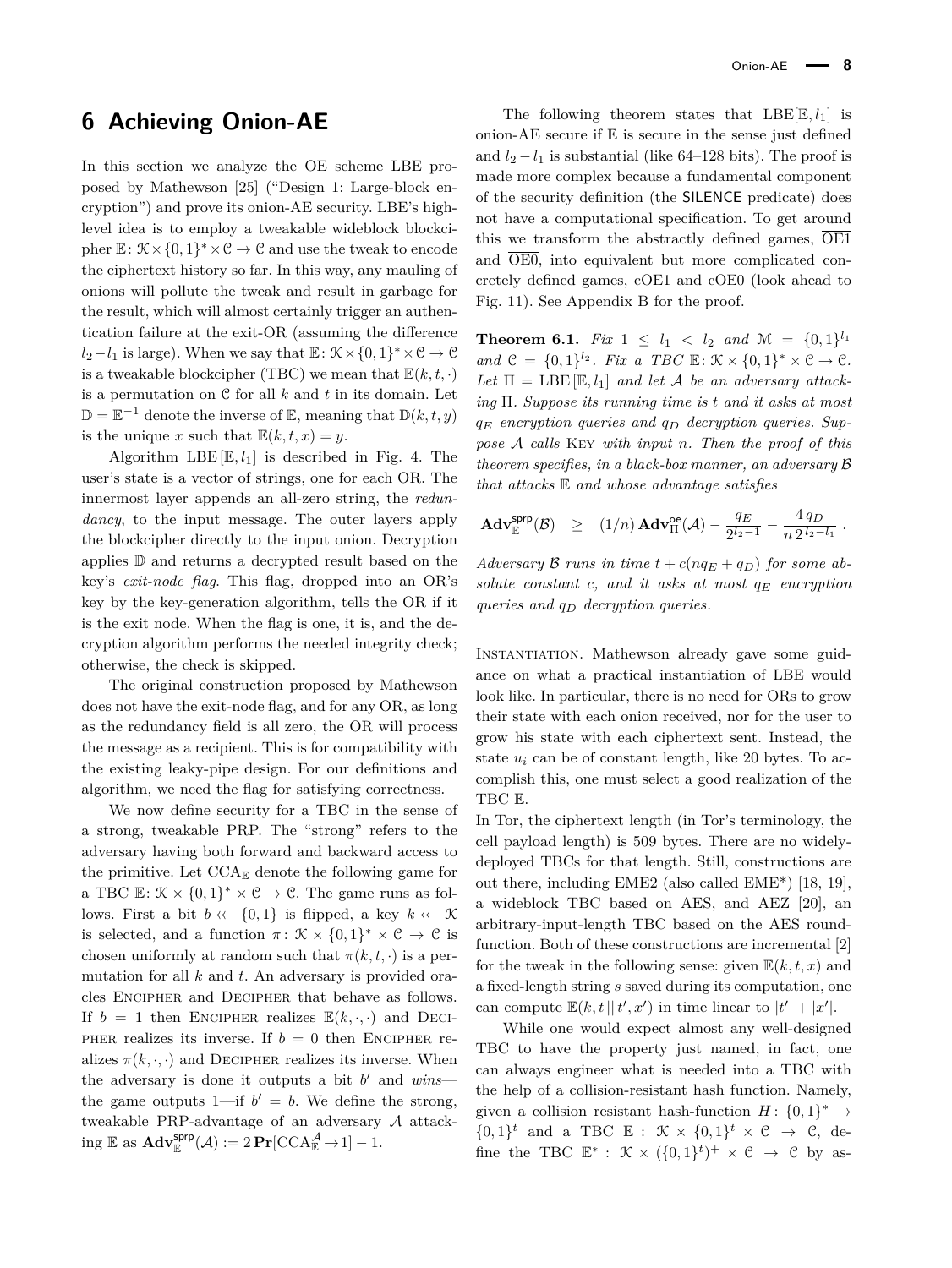# **6 Achieving Onion-AE**

In this section we analyze the OE scheme LBE proposed by Mathewson [\[25\]](#page-13-11) ("Design 1: Large-block encryption") and prove its onion-AE security. LBE's highlevel idea is to employ a tweakable wideblock blockcipher  $\mathbb{E}: \mathcal{K} \times \{0,1\}^* \times \mathcal{C} \to \mathcal{C}$  and use the tweak to encode the ciphertext history so far. In this way, any mauling of onions will pollute the tweak and result in garbage for the result, which will almost certainly trigger an authentication failure at the exit-OR (assuming the difference  $l_2-l_1$  is large). When we say that  $\mathbb{E}$ :  $\mathcal{K}\times\{0,1\}^*\times\mathcal{C}\to\mathcal{C}$ is a tweakable blockcipher (TBC) we mean that  $\mathbb{E}(k, t, \cdot)$ is a permutation on C for all *k* and *t* in its domain. Let  $\mathbb{D} = \mathbb{E}^{-1}$  denote the inverse of  $\mathbb{E}$ , meaning that  $\mathbb{D}(k, t, y)$ is the unique *x* such that  $\mathbb{E}(k,t,x) = y$ .

Algorithm LBE  $[\mathbb{E}, l_1]$  is described in Fig. [4.](#page-6-0) The user's state is a vector of strings, one for each OR. The innermost layer appends an all-zero string, the *redundancy*, to the input message. The outer layers apply the blockcipher directly to the input onion. Decryption applies D and returns a decrypted result based on the key's *exit-node flag*. This flag, dropped into an OR's key by the key-generation algorithm, tells the OR if it is the exit node. When the flag is one, it is, and the decryption algorithm performs the needed integrity check; otherwise, the check is skipped.

The original construction proposed by Mathewson does not have the exit-node flag, and for any OR, as long as the redundancy field is all zero, the OR will process the message as a recipient. This is for compatibility with the existing leaky-pipe design. For our definitions and algorithm, we need the flag for satisfying correctness.

We now define security for a TBC in the sense of a strong, tweakable PRP. The "strong" refers to the adversary having both forward and backward access to the primitive. Let  $\text{CCA}_{\mathbb{E}}$  denote the following game for a TBC  $\mathbb{E}: \mathcal{K} \times \{0,1\}^* \times \mathcal{C} \to \mathcal{C}$ . The game runs as follows. First a bit  $b \leftarrow \{0, 1\}$  is flipped, a key  $k \leftarrow \mathcal{K}$ is selected, and a function  $\pi: \mathcal{K} \times \{0,1\}^* \times \mathcal{C} \to \mathcal{C}$  is chosen uniformly at random such that  $\pi(k, t, \cdot)$  is a permutation for all *k* and *t*. An adversary is provided oracles Encipher and Decipher that behave as follows. If  $b = 1$  then ENCIPHER realizes  $\mathbb{E}(k, \cdot, \cdot)$  and DECI-PHER realizes its inverse. If  $b = 0$  then ENCIPHER realizes  $\pi(k, \cdot, \cdot)$  and DECIPHER realizes its inverse. When the adversary is done it outputs a bit  $b'$  and  $wins$  the game outputs  $1$ —if  $b' = b$ . We define the strong, tweakable PRP-advantage of an adversary A attack- $\operatorname{img} \mathbb{E} \text{ as } \mathbf{Adv}_{\mathbb{E}}^{\mathsf{sprp}}(\mathcal{A}) := 2 \mathbf{Pr}[\text{CCA}_{\mathbb{E}}^{\mathcal{A}} \to 1] - 1.$ 

The following theorem states that  $\text{LBE}[\mathbb{E}, l_1]$  is onion-AE secure if  $E$  is secure in the sense just defined and  $l_2 - l_1$  is substantial (like 64–128 bits). The proof is made more complex because a fundamental component of the security definition (the SILENCE predicate) does not have a computational specification. To get around this we transform the abstractly defined games, OE1 and  $\overline{OE0}$ , into equivalent but more complicated concretely defined games, cOE1 and cOE0 (look ahead to Fig. [11\)](#page-15-0). See Appendix [B](#page-17-0) for the proof.

<span id="page-7-0"></span>**Theorem 6.1.** *Fix*  $1 \leq l_1 < l_2$  *and*  $\mathcal{M} = \{0, 1\}^{l_1}$ *and*  $\mathcal{C} = \{0,1\}^{l_2}$ *. Fix a TBC*  $\mathbb{E}: \mathcal{K} \times \{0,1\}^* \times \mathcal{C} \to \mathcal{C}$ *.* Let  $\Pi = \text{LBE}[\mathbb{E}, l_1]$  *and let* A *be an adversary attacking* Π*. Suppose its running time is t and it asks at most q<sup>E</sup> encryption queries and q<sup>D</sup> decryption queries. Suppose* A *calls* Key *with input n. Then the proof of this theorem specifies, in a black-box manner, an adversary* B *that attacks* E *and whose advantage satisfies*

$$
\mathbf{Adv}_{\mathbb{E}}^{\mathsf{sprp}}(\mathcal{B}) \geq (1/n) \,\mathbf{Adv}_{\Pi}^{\mathsf{oe}}(\mathcal{A}) - \frac{q_E}{2^{l_2-1}} - \frac{4 \, q_D}{n \, 2^{l_2-l_1}} \, .
$$

*Adversary* B *runs in time*  $t + c(nq_E + q_D)$  *for some absolute constant c, and it asks at most q<sup>E</sup> encryption queries and q<sup>D</sup> decryption queries.*

Instantiation. Mathewson already gave some guidance on what a practical instantiation of LBE would look like. In particular, there is no need for ORs to grow their state with each onion received, nor for the user to grow his state with each ciphertext sent. Instead, the state  $u_i$  can be of constant length, like 20 bytes. To accomplish this, one must select a good realization of the TBC E.

In Tor, the ciphertext length (in Tor's terminology, the cell payload length) is 509 bytes. There are no widelydeployed TBCs for that length. Still, constructions are out there, including EME2 (also called EME\*) [\[18,](#page-13-22) [19\]](#page-13-23), a wideblock TBC based on AES, and AEZ [\[20\]](#page-13-24), an arbitrary-input-length TBC based on the AES roundfunction. Both of these constructions are incremental [\[2\]](#page-13-25) for the tweak in the following sense: given  $E(k, t, x)$  and a fixed-length string *s* saved during its computation, one can compute  $\mathbb{E}(k, t | t', x')$  in time linear to  $|t'| + |x'|$ .

While one would expect almost any well-designed TBC to have the property just named, in fact, one can always engineer what is needed into a TBC with the help of a collision-resistant hash function. Namely, given a collision resistant hash-function  $H: \{0,1\}^* \to$  $\{0,1\}^t$  and a TBC  $\mathbb{E}: \mathcal{K} \times \{0,1\}^t \times \mathcal{C} \rightarrow \mathcal{C}$ , define the TBC  $\mathbb{E}^*$ :  $\mathcal{K} \times (\{0,1\}^t)^+ \times \mathcal{C} \rightarrow \mathcal{C}$  by as-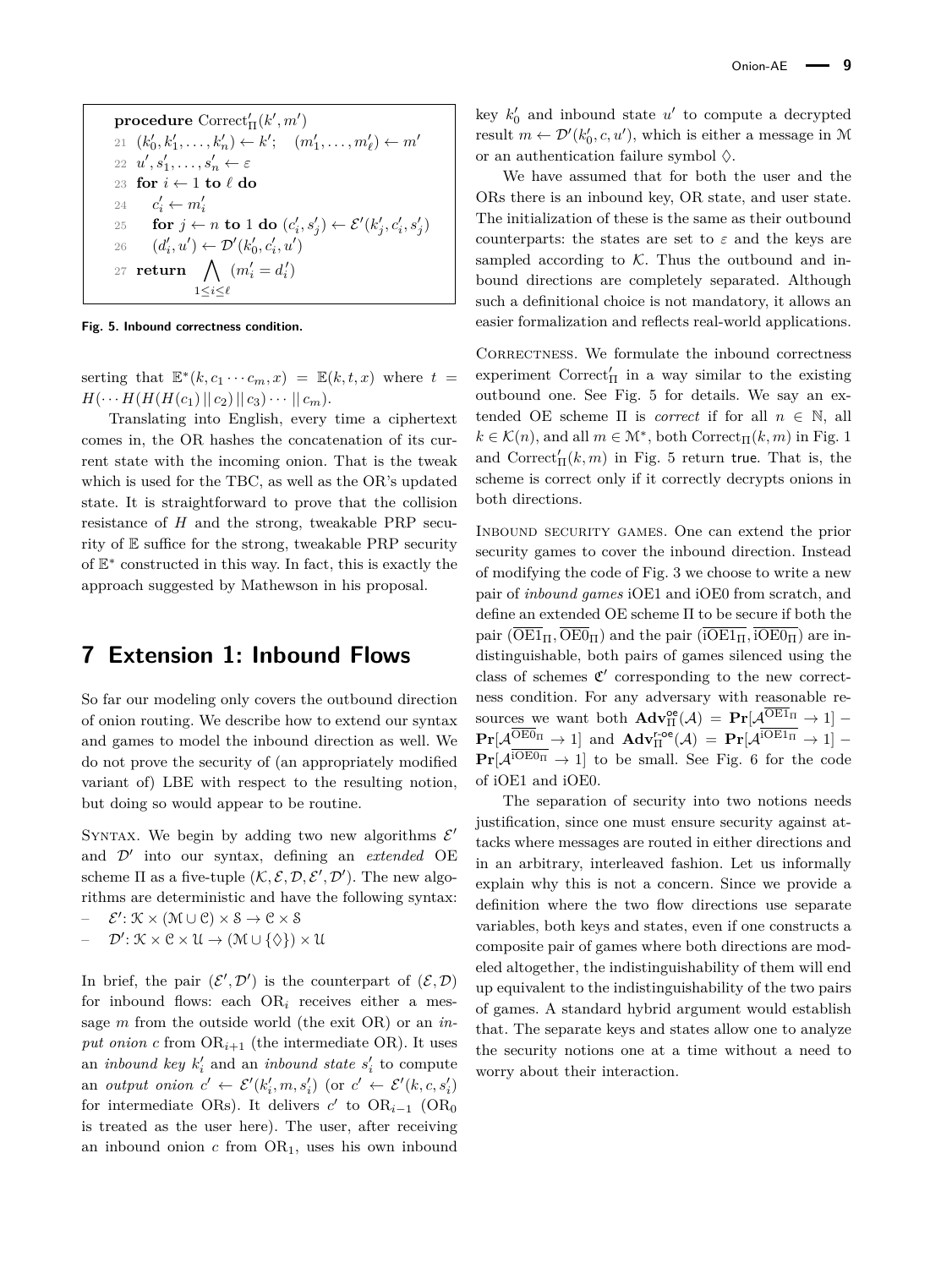<span id="page-8-1"></span> $\mathbf{procedure} \ \mathrm{Correct}_{\Pi}^\prime(k',m')$  $21 \ (k'_0, k'_1, \ldots, k'_n) \leftarrow k'; \quad (m'_1, \ldots, m'_\ell) \leftarrow m'$  $22 \quad u', s'_1, \ldots, s'_n \leftarrow \varepsilon$ 23 **for**  $i \leftarrow 1$  **to**  $\ell$  **do** 24 *c*  $a'_i \leftarrow m'_i$ 25 **for**  $j \leftarrow n$  **to** 1 **do**  $(c'_i, s'_j) \leftarrow \mathcal{E}'(k'_j, c'_i, s'_j)$ 26  $(d'_i, u') \leftarrow \mathcal{D}'(k'_0, c'_i, u')$ 27 **return**  $\bigwedge$   $(m'_i = d'_i)$ 1≤*i*≤*`*

**Fig. 5. Inbound correctness condition.**

serting that  $\mathbb{E}^*(k, c_1 \cdots c_m, x) = \mathbb{E}(k, t, x)$  where  $t =$  $H(\cdots H(H(H(c_1) || c_2) || c_3) \cdots || c_m).$ 

Translating into English, every time a ciphertext comes in, the OR hashes the concatenation of its current state with the incoming onion. That is the tweak which is used for the TBC, as well as the OR's updated state. It is straightforward to prove that the collision resistance of *H* and the strong, tweakable PRP security of E suffice for the strong, tweakable PRP security of  $E^*$  constructed in this way. In fact, this is exactly the approach suggested by Mathewson in his proposal.

# <span id="page-8-0"></span>**7 Extension 1: Inbound Flows**

So far our modeling only covers the outbound direction of onion routing. We describe how to extend our syntax and games to model the inbound direction as well. We do not prove the security of (an appropriately modified variant of) LBE with respect to the resulting notion, but doing so would appear to be routine.

SYNTAX. We begin by adding two new algorithms  $\mathcal{E}'$ and  $\mathcal{D}'$  into our syntax, defining an *extended* OE scheme  $\Pi$  as a five-tuple  $(K, \mathcal{E}, \mathcal{D}, \mathcal{E}', \mathcal{D}')$ . The new algorithms are deterministic and have the following syntax:

- $\mathcal{E}' : \mathcal{K} \times (\mathcal{M} \cup \mathcal{C}) \times \mathcal{S} \rightarrow \mathcal{C} \times \mathcal{S}$
- $\mathcal{D}': \mathcal{K} \times \mathcal{C} \times \mathcal{U} \rightarrow (\mathcal{M} \cup \{\Diamond\}) \times \mathcal{U}$

In brief, the pair  $(\mathcal{E}', \mathcal{D}')$  is the counterpart of  $(\mathcal{E}, \mathcal{D})$ for inbound flows: each  $OR_i$  receives either a message *m* from the outside world (the exit OR) or an *in*put onion *c* from  $OR_{i+1}$  (the intermediate OR). It uses an *inbound key*  $k'_i$  and an *inbound state*  $s'_i$  to compute an *output onion*  $c' \leftarrow \mathcal{E}'(k'_i, m, s'_i)$  (or  $c' \leftarrow \mathcal{E}'(k, c, s'_i)$ for intermediate ORs). It delivers  $c'$  to OR<sub>*i*-1</sub> (OR<sub>0</sub>) is treated as the user here). The user, after receiving an inbound onion  $c$  from  $OR<sub>1</sub>$ , uses his own inbound

key  $k_0'$  and inbound state  $u'$  to compute a decrypted result  $m \leftarrow \mathcal{D}'(k'_0, c, u')$ , which is either a message in M or an authentication failure symbol  $\Diamond$ .

We have assumed that for both the user and the ORs there is an inbound key, OR state, and user state. The initialization of these is the same as their outbound counterparts: the states are set to  $\varepsilon$  and the keys are sampled according to  $K$ . Thus the outbound and inbound directions are completely separated. Although such a definitional choice is not mandatory, it allows an easier formalization and reflects real-world applications.

CORRECTNESS. We formulate the inbound correctness experiment  $\text{Correct}_{\Pi}'$  in a way similar to the existing outbound one. See Fig. [5](#page-8-1) for details. We say an extended OE scheme  $\Pi$  is *correct* if for all  $n \in \mathbb{N}$ , all  $k \in \mathcal{K}(n)$ , and all  $m \in \mathcal{M}^*$ , both Correct<sub>II</sub> $(k, m)$  in Fig. [1](#page-3-0) and  $\text{Correct}_\Pi^{\prime}(k,m)$  in Fig. [5](#page-8-1) return true. That is, the scheme is correct only if it correctly decrypts onions in both directions.

Inbound security games. One can extend the prior security games to cover the inbound direction. Instead of modifying the code of Fig. [3](#page-5-0) we choose to write a new pair of *inbound games* iOE1 and iOE0 from scratch, and define an extended OE scheme Π to be secure if both the pair  $(\overline{\text{OE1}}_{\Pi}, \overline{\text{OE0}}_{\Pi})$  and the pair  $(\overline{\text{IOE1}}_{\Pi}, \overline{\text{IOE0}}_{\Pi})$  are indistinguishable, both pairs of games silenced using the class of schemes  $\mathfrak{C}'$  corresponding to the new correctness condition. For any adversary with reasonable resources we want both  $\mathbf{Adv}_{\Pi}^{\oe}(\mathcal{A}) = \mathbf{Pr}[\mathcal{A}_{\text{D}}^{\text{OEL1}_{\Pi}} \to 1]$  $\mathbf{Pr}[\mathcal{A}^{\overline{\mathrm{OEO}}_{\Pi}} \to 1]$  and  $\mathbf{Adv}_{\Pi}^{\mathsf{r-oe}}(\mathcal{A}) = \mathbf{Pr}[\mathcal{A}^{\overline{\mathrm{IOE}}_{\Pi}} \to 1]$  –  $\Pr[\mathcal{A}^{\overline{\text{iOEO}_{\Pi}}} \to 1]$  to be small. See Fig. [6](#page-9-1) for the code of iOE1 and iOE0.

The separation of security into two notions needs justification, since one must ensure security against attacks where messages are routed in either directions and in an arbitrary, interleaved fashion. Let us informally explain why this is not a concern. Since we provide a definition where the two flow directions use separate variables, both keys and states, even if one constructs a composite pair of games where both directions are modeled altogether, the indistinguishability of them will end up equivalent to the indistinguishability of the two pairs of games. A standard hybrid argument would establish that. The separate keys and states allow one to analyze the security notions one at a time without a need to worry about their interaction.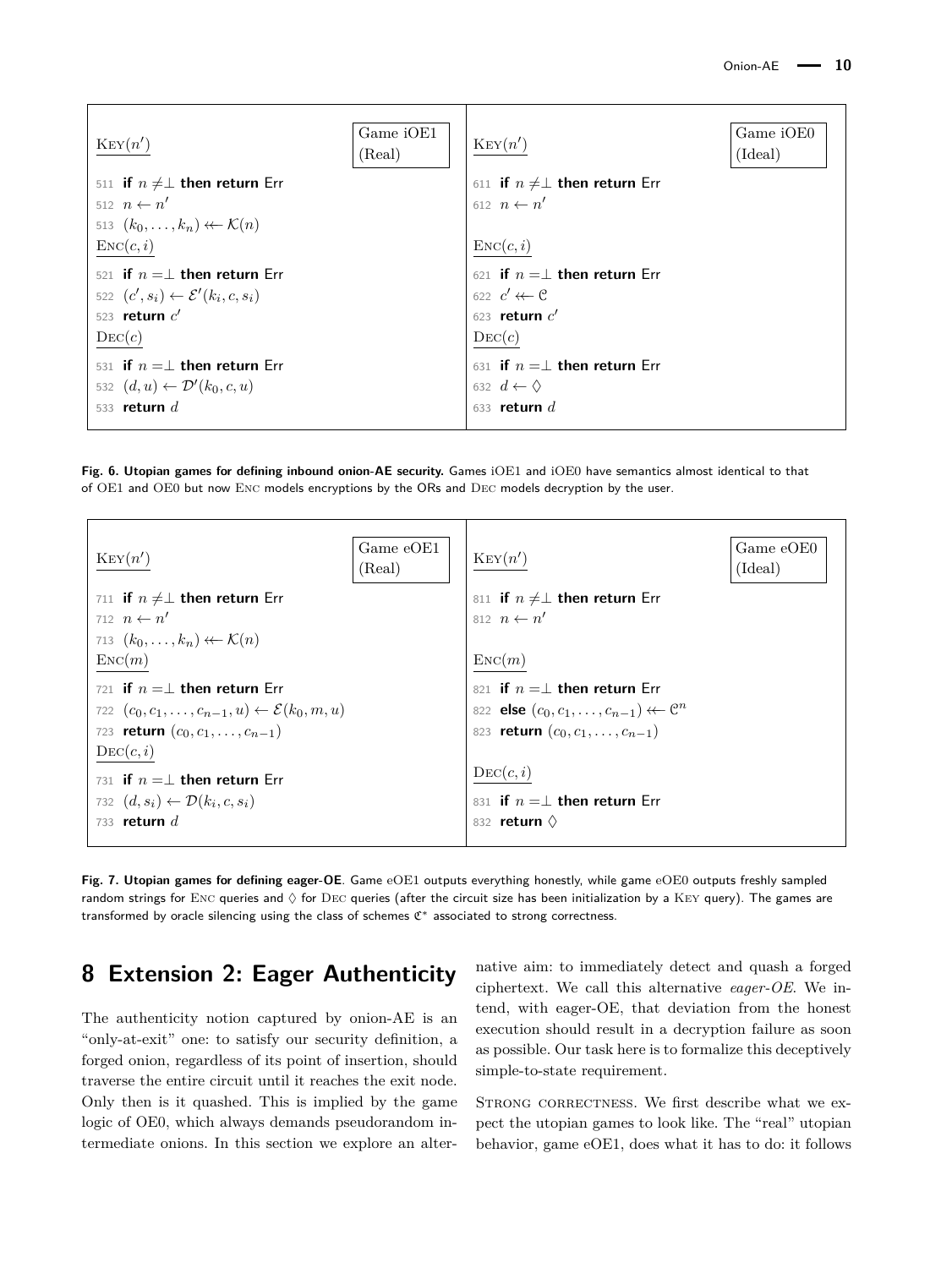<span id="page-9-1"></span>

| Ker(n')                                              | Game iOE1<br>(Real) | Ker(n')                               | Game iOE0<br>(Ideal) |
|------------------------------------------------------|---------------------|---------------------------------------|----------------------|
| 511 if $n \neq \perp$ then return Err                |                     | 611 if $n \neq \perp$ then return Err |                      |
| 512 $n \leftarrow n'$                                |                     | 612 $n \leftarrow n'$                 |                      |
| 513 $(k_0,\ldots,k_n) \leftarrow \mathcal{K}(n)$     |                     |                                       |                      |
| $\text{Enc}(c, i)$                                   |                     | $\text{Enc}(c, i)$                    |                      |
| 521 if $n = \perp$ then return Err                   |                     | 621 if $n = \perp$ then return Err    |                      |
| 522 $(c', s_i) \leftarrow \mathcal{E}'(k_i, c, s_i)$ |                     | 622 $c' \leftarrow c$                 |                      |
| 523 return $c'$                                      |                     | 623 return $c'$                       |                      |
| $\mathrm{Dec}(c)$                                    |                     | $\text{DEC}(c)$                       |                      |
| 531 if $n = \perp$ then return Err                   |                     | 631 if $n = \perp$ then return Err    |                      |
| 532 $(d, u) \leftarrow \mathcal{D}'(k_0, c, u)$      |                     | 632 $d \leftarrow \Diamond$           |                      |
| 533 return $d$                                       |                     | 633 return $d$                        |                      |
|                                                      |                     |                                       |                      |

**Fig. 6. Utopian games for defining inbound onion-AE security.** Games iOE1 and iOE0 have semantics almost identical to that of OE1 and OE0 but now Enc models encryptions by the ORs and Dec models decryption by the user.

<span id="page-9-2"></span>

**Fig. 7. Utopian games for defining eager-OE**. Game eOE1 outputs everything honestly, while game eOE0 outputs freshly sampled random strings for ENC queries and  $\Diamond$  for DEC queries (after the circuit size has been initialization by a KEY query). The games are transformed by oracle silencing using the class of schemes  $C^*$  associated to strong correctness.

# <span id="page-9-0"></span>**8 Extension 2: Eager Authenticity**

The authenticity notion captured by onion-AE is an "only-at-exit" one: to satisfy our security definition, a forged onion, regardless of its point of insertion, should traverse the entire circuit until it reaches the exit node. Only then is it quashed. This is implied by the game logic of OE0, which always demands pseudorandom intermediate onions. In this section we explore an alternative aim: to immediately detect and quash a forged ciphertext. We call this alternative *eager-OE*. We intend, with eager-OE, that deviation from the honest execution should result in a decryption failure as soon as possible. Our task here is to formalize this deceptively simple-to-state requirement.

STRONG CORRECTNESS. We first describe what we expect the utopian games to look like. The "real" utopian behavior, game eOE1, does what it has to do: it follows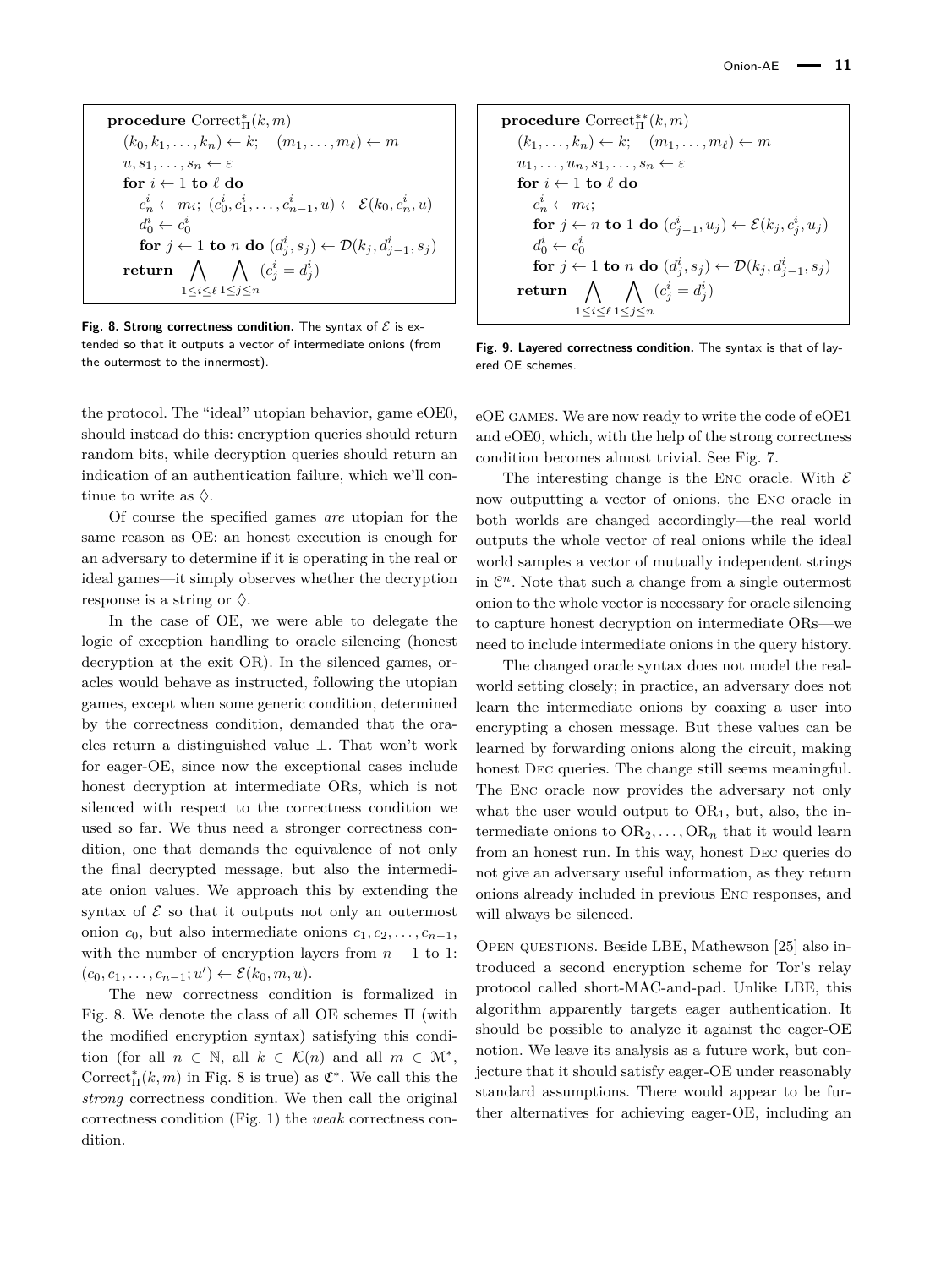<span id="page-10-0"></span>**procedure** Correct<sub>II</sub>
$$
(k, m)
$$
  
\n $(k_0, k_1, ..., k_n) \leftarrow k$ ;  $(m_1, ..., m_\ell) \leftarrow m$   
\n $u, s_1, ..., s_n \leftarrow \varepsilon$   
\n**for**  $i \leftarrow 1$  **to**  $\ell$  **do**  
\n $c_n^i \leftarrow m_i$ ;  $(c_0^i, c_1^i, ..., c_{n-1}^i, u) \leftarrow \mathcal{E}(k_0, c_n^i, u)$   
\n $d_0^i \leftarrow c_0^i$   
\n**for**  $j \leftarrow 1$  **to**  $n$  **do**  $(d_j^i, s_j) \leftarrow \mathcal{D}(k_j, d_{j-1}^i, s_j)$   
\n**return**  $\bigwedge_{1 \leq i \leq \ell} 1 \leq j \leq n} (c_j^i = d_j^i)$ 

Fig. 8. Strong correctness condition. The syntax of  $\mathcal E$  is extended so that it outputs a vector of intermediate onions (from the outermost to the innermost).

the protocol. The "ideal" utopian behavior, game eOE0, should instead do this: encryption queries should return random bits, while decryption queries should return an indication of an authentication failure, which we'll continue to write as  $\Diamond$ .

Of course the specified games *are* utopian for the same reason as OE: an honest execution is enough for an adversary to determine if it is operating in the real or ideal games—it simply observes whether the decryption response is a string or  $\Diamond$ .

In the case of OE, we were able to delegate the logic of exception handling to oracle silencing (honest decryption at the exit OR). In the silenced games, oracles would behave as instructed, following the utopian games, except when some generic condition, determined by the correctness condition, demanded that the oracles return a distinguished value ⊥. That won't work for eager-OE, since now the exceptional cases include honest decryption at intermediate ORs, which is not silenced with respect to the correctness condition we used so far. We thus need a stronger correctness condition, one that demands the equivalence of not only the final decrypted message, but also the intermediate onion values. We approach this by extending the syntax of  $\mathcal E$  so that it outputs not only an outermost onion  $c_0$ , but also intermediate onions  $c_1, c_2, \ldots, c_{n-1}$ , with the number of encryption layers from  $n-1$  to 1:  $(c_0, c_1, \ldots, c_{n-1}; u') \leftarrow \mathcal{E}(k_0, m, u).$ 

The new correctness condition is formalized in Fig. [8.](#page-10-0) We denote the class of all OE schemes Π (with the modified encryption syntax) satisfying this condition (for all  $n \in \mathbb{N}$ , all  $k \in \mathcal{K}(n)$  and all  $m \in \mathcal{M}^*$ , Correct<sup>\*</sup><sub>II</sub>( $k, m$ ) in Fig. [8](#page-10-0) is true) as  $\mathfrak{C}^*$ . We call this the *strong* correctness condition. We then call the original correctness condition (Fig. [1\)](#page-3-0) the *weak* correctness condition.

<span id="page-10-1"></span>**procedure** Correct<sub>II</sub><sup>\*</sup>(k, m)  
\n(k<sub>1</sub>,...,k<sub>n</sub>) 
$$
\leftarrow
$$
 k;  $(m_1,...,m_\ell) \leftarrow m$   
\nu<sub>1</sub>,...,v<sub>n</sub>,s<sub>1</sub>,...,s<sub>n</sub>  $\leftarrow$   $\varepsilon$   
\n**for**  $i \leftarrow 1$  **to**  $\ell$  **do**  
\n $c_n^i \leftarrow m_i$ ;  
\n**for**  $j \leftarrow n$  **to** 1 **do**  $(c_{j-1}^i, u_j) \leftarrow \mathcal{E}(k_j, c_j^i, u_j)$   
\n $d_0^i \leftarrow c_0^i$   
\n**for**  $j \leftarrow 1$  **to** n **do**  $(d_j^i, s_j) \leftarrow \mathcal{D}(k_j, d_{j-1}^i, s_j)$   
\n**return**  $\bigwedge_{1 \leq i \leq \ell} \bigwedge_{1 \leq j \leq n} (c_j^i = d_j^i)$ 

**Fig. 9. Layered correctness condition.** The syntax is that of layered OE schemes.

eOE games. We are now ready to write the code of eOE1 and eOE0, which, with the help of the strong correctness condition becomes almost trivial. See Fig. [7.](#page-9-2)

The interesting change is the ENC oracle. With  $\mathcal E$ now outputting a vector of onions, the Enc oracle in both worlds are changed accordingly—the real world outputs the whole vector of real onions while the ideal world samples a vector of mutually independent strings in  $\mathbb{C}^n$ . Note that such a change from a single outermost onion to the whole vector is necessary for oracle silencing to capture honest decryption on intermediate ORs—we need to include intermediate onions in the query history.

The changed oracle syntax does not model the realworld setting closely; in practice, an adversary does not learn the intermediate onions by coaxing a user into encrypting a chosen message. But these values can be learned by forwarding onions along the circuit, making honest DEC queries. The change still seems meaningful. The Enc oracle now provides the adversary not only what the user would output to  $OR<sub>1</sub>$ , but, also, the intermediate onions to  $OR_2, \ldots, OR_n$  that it would learn from an honest run. In this way, honest Dec queries do not give an adversary useful information, as they return onions already included in previous Enc responses, and will always be silenced.

Open questions. Beside LBE, Mathewson [\[25\]](#page-13-11) also introduced a second encryption scheme for Tor's relay protocol called short-MAC-and-pad. Unlike LBE, this algorithm apparently targets eager authentication. It should be possible to analyze it against the eager-OE notion. We leave its analysis as a future work, but conjecture that it should satisfy eager-OE under reasonably standard assumptions. There would appear to be further alternatives for achieving eager-OE, including an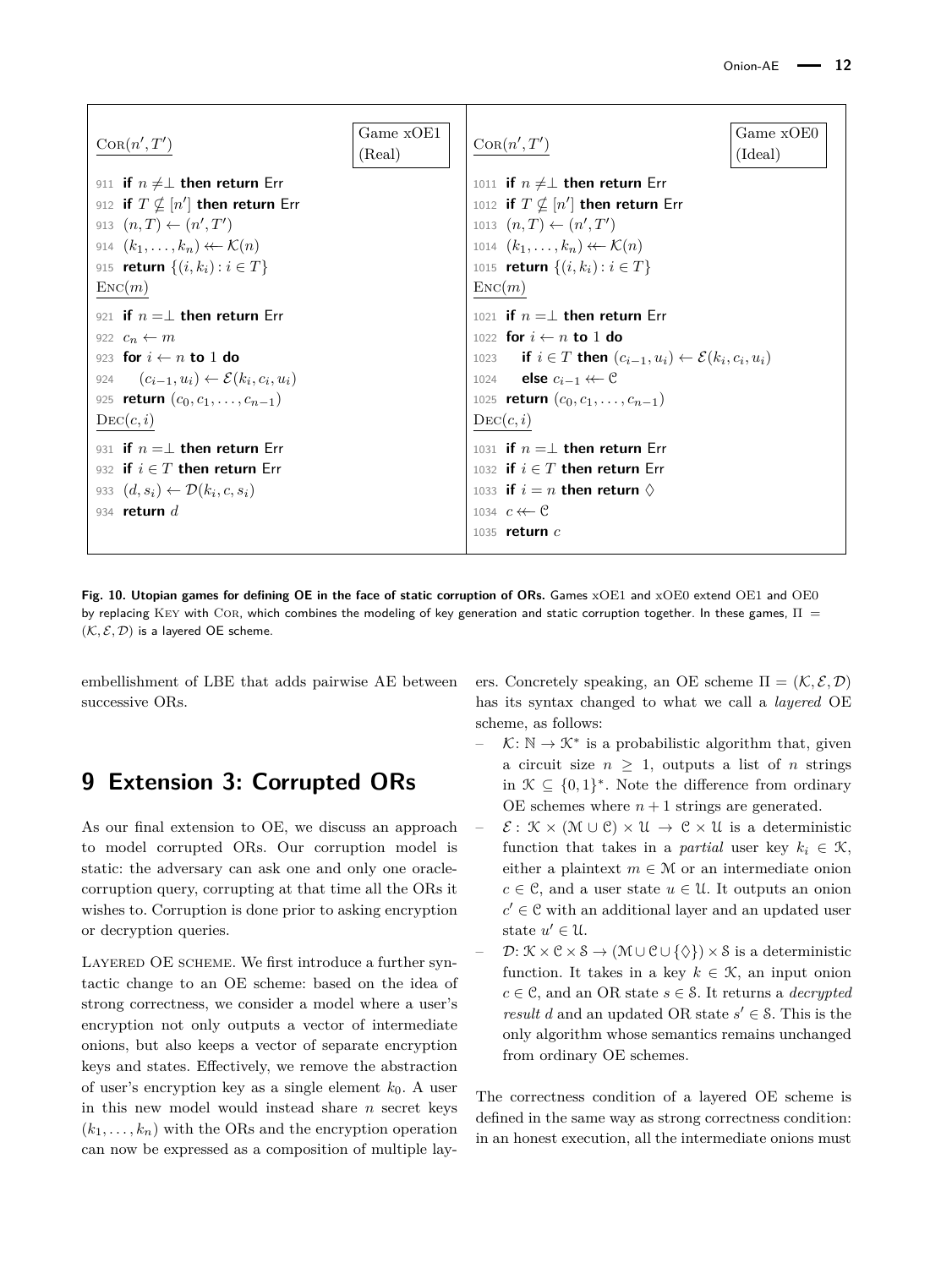<span id="page-11-1"></span>

| Cor(n',T')                                                    | Game xOE1<br>(Real) | Cor(n',T')                                                                    | Game xOE0<br>(Ideal) |
|---------------------------------------------------------------|---------------------|-------------------------------------------------------------------------------|----------------------|
| 911 if $n \neq \perp$ then return Err                         |                     | 1011 if $n \neq \perp$ then return Err                                        |                      |
| 912 if $T \nsubseteq [n']$ then return Err                    |                     | 1012 if $T \nsubseteq [n']$ then return Err                                   |                      |
| 913 $(n, T) \leftarrow (n', T')$                              |                     | 1013 $(n, T) \leftarrow (n', T')$                                             |                      |
| 914 $(k_1,\ldots,k_n) \leftarrow \mathcal{K}(n)$              |                     | 1014 $(k_1,\ldots,k_n) \leftarrow \mathcal{K}(n)$                             |                      |
| 915 <b>return</b> $\{(i,k_i): i \in T\}$                      |                     | 1015 <b>return</b> $\{(i,k_i): i \in T\}$                                     |                      |
| $\text{Enc}(m)$                                               |                     | $\text{Enc}(m)$                                                               |                      |
| 921 if $n = \perp$ then return Err                            |                     | 1021 if $n = \perp$ then return Err                                           |                      |
| 922 $c_n \leftarrow m$                                        |                     | 1022 for $i \leftarrow n$ to 1 do                                             |                      |
| 923 for $i \leftarrow n$ to 1 do                              |                     | 1023 if $i \in T$ then $(c_{i-1}, u_i) \leftarrow \mathcal{E}(k_i, c_i, u_i)$ |                      |
| $(c_{i-1}, u_i) \leftarrow \mathcal{E}(k_i, c_i, u_i)$<br>924 |                     | 1024 <b>else</b> $c_{i-1} \leftarrow \mathcal{C}$                             |                      |
| 925 <b>return</b> $(c_0, c_1, \ldots, c_{n-1})$               |                     | 1025 <b>return</b> $(c_0, c_1, \ldots, c_{n-1})$                              |                      |
| $\mathrm{DEC}(c,i)$                                           |                     | $\mathrm{DEC}(c,i)$                                                           |                      |
| 931 if $n = \perp$ then return Err                            |                     | 1031 if $n = \perp$ then return Err                                           |                      |
| 932 if $i \in T$ then return Err                              |                     | 1032 if $i \in T$ then return Err                                             |                      |
| 933 $(d, s_i) \leftarrow \mathcal{D}(k_i, c, s_i)$            |                     | 1033 if $i = n$ then return $\diamond$                                        |                      |
| 934 return $d$                                                |                     | 1034 $c \leftarrow c$                                                         |                      |
|                                                               |                     | 1035 return $c$                                                               |                      |

Fig. 10. Utopian games for defining OE in the face of static corruption of ORs. Games xOE1 and xOE0 extend OE1 and OE0 by replacing KEY with COR, which combines the modeling of key generation and static corruption together. In these games,  $\Pi$  =  $(K, \mathcal{E}, \mathcal{D})$  is a layered OE scheme.

embellishment of LBE that adds pairwise AE between successive ORs.

# <span id="page-11-0"></span>**9 Extension 3: Corrupted ORs**

As our final extension to OE, we discuss an approach to model corrupted ORs. Our corruption model is static: the adversary can ask one and only one oraclecorruption query, corrupting at that time all the ORs it wishes to. Corruption is done prior to asking encryption or decryption queries.

LAYERED OE SCHEME. We first introduce a further syntactic change to an OE scheme: based on the idea of strong correctness, we consider a model where a user's encryption not only outputs a vector of intermediate onions, but also keeps a vector of separate encryption keys and states. Effectively, we remove the abstraction of user's encryption key as a single element *k*0. A user in this new model would instead share *n* secret keys  $(k_1, \ldots, k_n)$  with the ORs and the encryption operation can now be expressed as a composition of multiple layers. Concretely speaking, an OE scheme  $\Pi = (\mathcal{K}, \mathcal{E}, \mathcal{D})$ has its syntax changed to what we call a *layered* OE scheme, as follows:

- $\vdash$   $\mathcal{K}: \mathbb{N} \to \mathcal{K}^*$  is a probabilistic algorithm that, given a circuit size  $n \geq 1$ , outputs a list of *n* strings in  $\mathcal{K} \subseteq \{0,1\}^*$ . Note the difference from ordinary OE schemes where  $n+1$  strings are generated.
- $\mathcal{E}: \mathcal{K} \times (\mathcal{M} \cup \mathcal{C}) \times \mathcal{U} \rightarrow \mathcal{C} \times \mathcal{U}$  is a deterministic function that takes in a *partial* user key  $k_i \in \mathcal{K}$ , either a plaintext  $m \in \mathcal{M}$  or an intermediate onion  $c \in \mathcal{C}$ , and a user state  $u \in \mathcal{U}$ . It outputs an onion  $c' \in \mathcal{C}$  with an additional layer and an updated user state  $u' \in \mathcal{U}$ .
- $\mathcal{D}: \mathcal{K} \times \mathcal{C} \times \mathcal{S} \rightarrow (\mathcal{M} \cup \mathcal{C} \cup \{\Diamond\}) \times \mathcal{S}$  is a deterministic function. It takes in a key  $k \in \mathcal{K}$ , an input onion  $c \in \mathcal{C}$ , and an OR state  $s \in \mathcal{S}$ . It returns a *decrypted result d* and an updated OR state  $s' \in \mathcal{S}$ . This is the only algorithm whose semantics remains unchanged from ordinary OE schemes.

The correctness condition of a layered OE scheme is defined in the same way as strong correctness condition: in an honest execution, all the intermediate onions must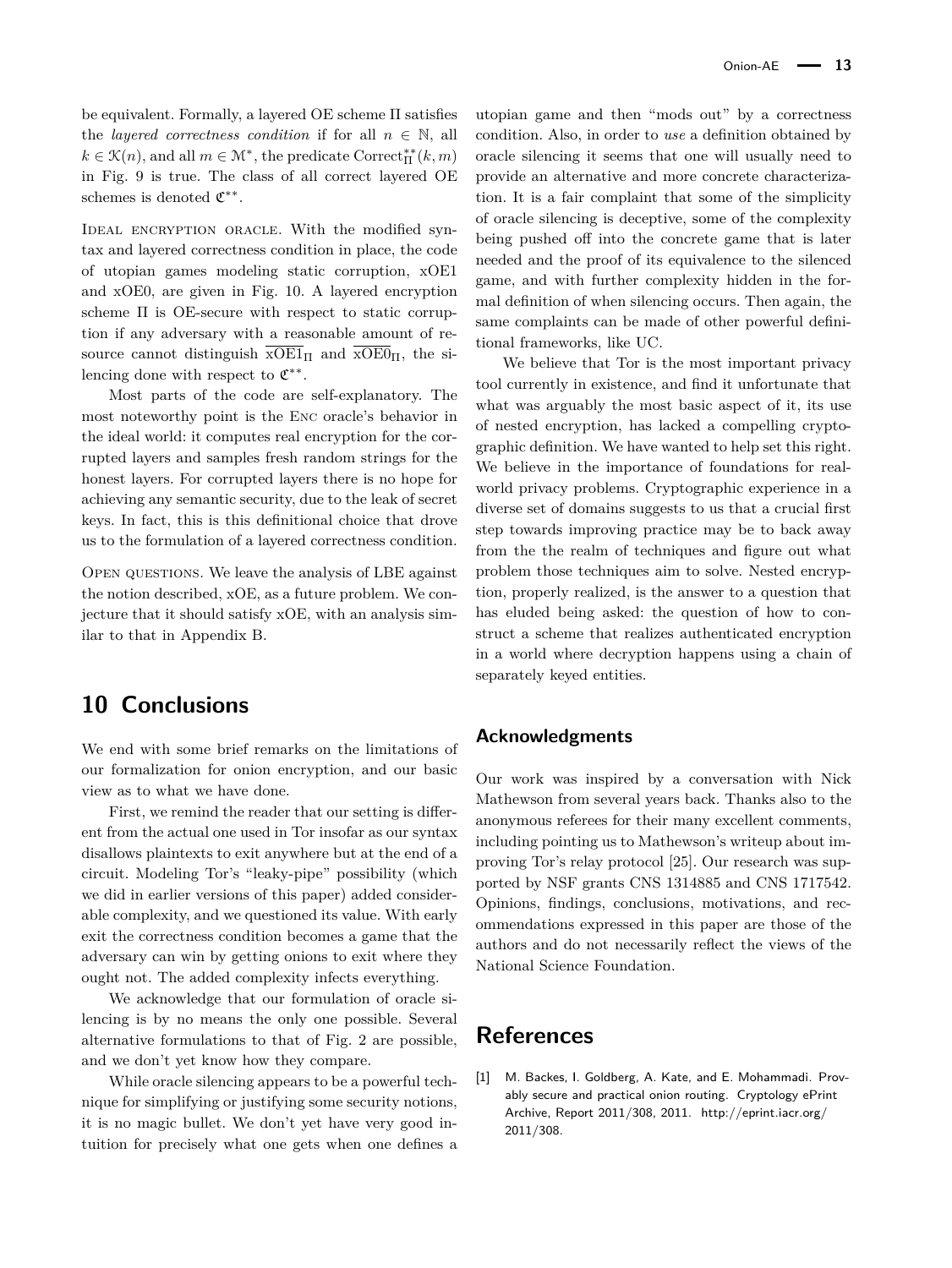be equivalent. Formally, a layered OE scheme Π satisfies the *layered correctness condition* if for all  $n \in \mathbb{N}$ , all  $k \in \mathcal{K}(n)$ , and all  $m \in \mathcal{M}^*$ , the predicate Correct<sup>\*\*</sup><sub>II</sub><sup>\*</sup> $(k, m)$ in Fig. [9](#page-10-1) is true. The class of all correct layered OE schemes is denoted  $\mathfrak{C}^{**}$ .

IDEAL ENCRYPTION ORACLE. With the modified syntax and layered correctness condition in place, the code of utopian games modeling static corruption, xOE1 and xOE0, are given in Fig. [10.](#page-11-1) A layered encryption scheme Π is OE-secure with respect to static corruption if any adversary with a reasonable amount of resource cannot distinguish  $\overline{XOE1}_{\Pi}$  and  $\overline{XOE0}_{\Pi}$ , the silencing done with respect to  $\mathfrak{C}^{**}$ .

Most parts of the code are self-explanatory. The most noteworthy point is the Enc oracle's behavior in the ideal world: it computes real encryption for the corrupted layers and samples fresh random strings for the honest layers. For corrupted layers there is no hope for achieving any semantic security, due to the leak of secret keys. In fact, this is this definitional choice that drove us to the formulation of a layered correctness condition.

Open questions. We leave the analysis of LBE against the notion described, xOE, as a future problem. We conjecture that it should satisfy xOE, with an analysis similar to that in Appendix [B.](#page-17-0)

# **10 Conclusions**

We end with some brief remarks on the limitations of our formalization for onion encryption, and our basic view as to what we have done.

First, we remind the reader that our setting is different from the actual one used in Tor insofar as our syntax disallows plaintexts to exit anywhere but at the end of a circuit. Modeling Tor's "leaky-pipe" possibility (which we did in earlier versions of this paper) added considerable complexity, and we questioned its value. With early exit the correctness condition becomes a game that the adversary can win by getting onions to exit where they ought not. The added complexity infects everything.

We acknowledge that our formulation of oracle silencing is by no means the only one possible. Several alternative formulations to that of Fig. [2](#page-4-0) are possible, and we don't yet know how they compare.

While oracle silencing appears to be a powerful technique for simplifying or justifying some security notions, it is no magic bullet. We don't yet have very good intuition for precisely what one gets when one defines a utopian game and then "mods out" by a correctness condition. Also, in order to *use* a definition obtained by oracle silencing it seems that one will usually need to provide an alternative and more concrete characterization. It is a fair complaint that some of the simplicity of oracle silencing is deceptive, some of the complexity being pushed off into the concrete game that is later needed and the proof of its equivalence to the silenced game, and with further complexity hidden in the formal definition of when silencing occurs. Then again, the same complaints can be made of other powerful definitional frameworks, like UC.

We believe that Tor is the most important privacy tool currently in existence, and find it unfortunate that what was arguably the most basic aspect of it, its use of nested encryption, has lacked a compelling cryptographic definition. We have wanted to help set this right. We believe in the importance of foundations for realworld privacy problems. Cryptographic experience in a diverse set of domains suggests to us that a crucial first step towards improving practice may be to back away from the the realm of techniques and figure out what problem those techniques aim to solve. Nested encryption, properly realized, is the answer to a question that has eluded being asked: the question of how to construct a scheme that realizes authenticated encryption in a world where decryption happens using a chain of separately keyed entities.

#### **Acknowledgments**

Our work was inspired by a conversation with Nick Mathewson from several years back. Thanks also to the anonymous referees for their many excellent comments, including pointing us to Mathewson's writeup about improving Tor's relay protocol [\[25\]](#page-13-11). Our research was supported by NSF grants CNS 1314885 and CNS 1717542. Opinions, findings, conclusions, motivations, and recommendations expressed in this paper are those of the authors and do not necessarily reflect the views of the National Science Foundation.

#### **References**

<span id="page-12-0"></span>[1] M. Backes, I. Goldberg, A. Kate, and E. Mohammadi. Provably secure and practical onion routing. Cryptology ePrint Archive, Report 2011/308, 2011. [http://eprint.iacr.org/](http://eprint.iacr.org/2011/308) [2011/308.](http://eprint.iacr.org/2011/308)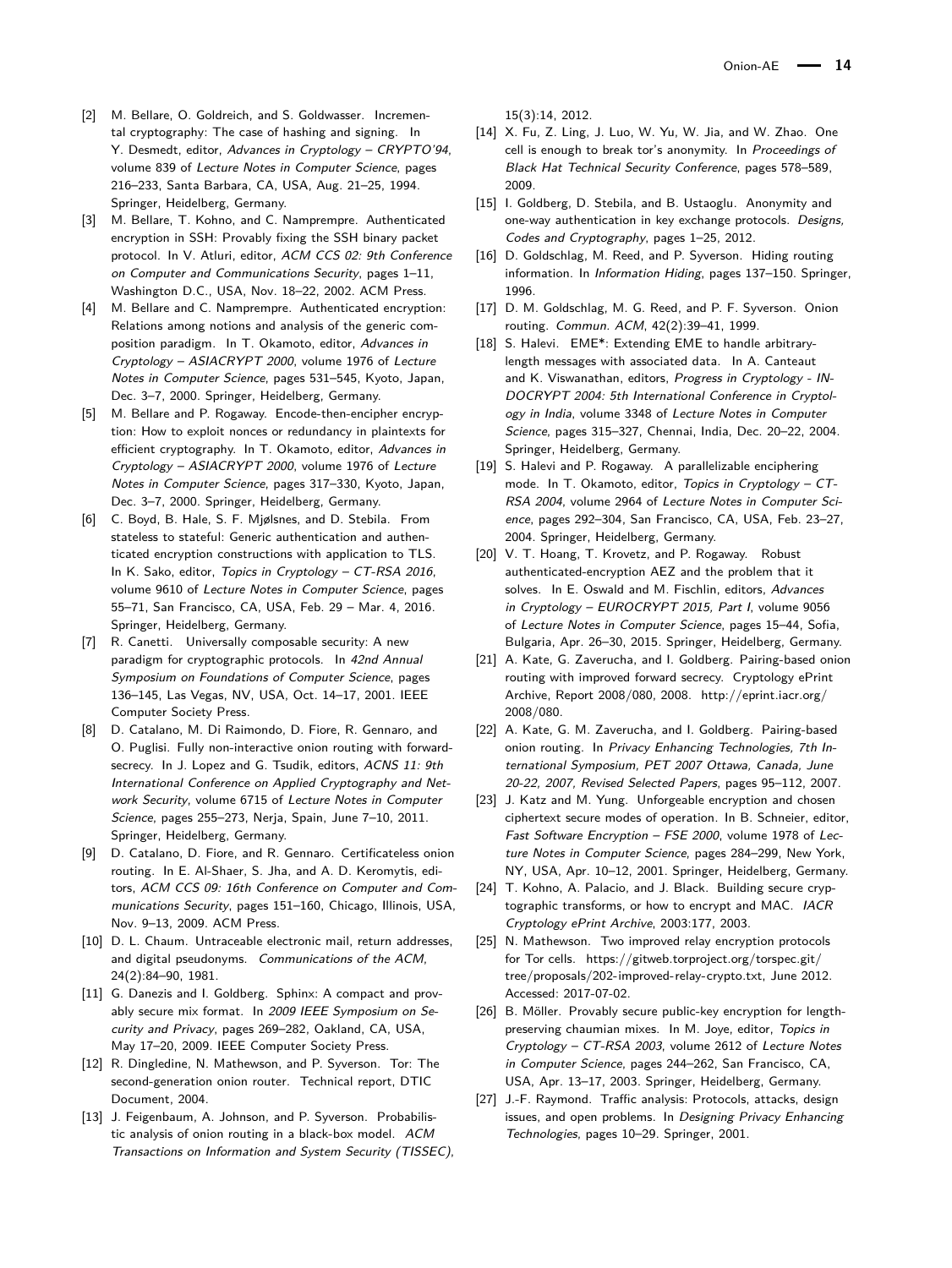- <span id="page-13-25"></span>[2] M. Bellare, O. Goldreich, and S. Goldwasser. Incremental cryptography: The case of hashing and signing. In Y. Desmedt, editor, Advances in Cryptology – CRYPTO'94, volume 839 of Lecture Notes in Computer Science, pages 216–233, Santa Barbara, CA, USA, Aug. 21–25, 1994. Springer, Heidelberg, Germany.
- <span id="page-13-6"></span>[3] M. Bellare, T. Kohno, and C. Namprempre. Authenticated encryption in SSH: Provably fixing the SSH binary packet protocol. In V. Atluri, editor, ACM CCS 02: 9th Conference on Computer and Communications Security, pages 1–11, Washington D.C., USA, Nov. 18–22, 2002. ACM Press.
- <span id="page-13-3"></span>[4] M. Bellare and C. Namprempre. Authenticated encryption: Relations among notions and analysis of the generic composition paradigm. In T. Okamoto, editor, Advances in Cryptology – ASIACRYPT 2000, volume 1976 of Lecture Notes in Computer Science, pages 531–545, Kyoto, Japan, Dec. 3–7, 2000. Springer, Heidelberg, Germany.
- <span id="page-13-4"></span>[5] M. Bellare and P. Rogaway. Encode-then-encipher encryption: How to exploit nonces or redundancy in plaintexts for efficient cryptography. In T. Okamoto, editor, Advances in Cryptology – ASIACRYPT 2000, volume 1976 of Lecture Notes in Computer Science, pages 317–330, Kyoto, Japan, Dec. 3–7, 2000. Springer, Heidelberg, Germany.
- <span id="page-13-7"></span>[6] C. Boyd, B. Hale, S. F. Mjølsnes, and D. Stebila. From stateless to stateful: Generic authentication and authenticated encryption constructions with application to TLS. In K. Sako, editor, Topics in Cryptology – CT-RSA 2016, volume 9610 of Lecture Notes in Computer Science, pages 55–71, San Francisco, CA, USA, Feb. 29 – Mar. 4, 2016. Springer, Heidelberg, Germany.
- <span id="page-13-14"></span>[7] R. Canetti. Universally composable security: A new paradigm for cryptographic protocols. In 42nd Annual Symposium on Foundations of Computer Science, pages 136–145, Las Vegas, NV, USA, Oct. 14–17, 2001. IEEE Computer Society Press.
- <span id="page-13-15"></span>[8] D. Catalano, M. Di Raimondo, D. Fiore, R. Gennaro, and O. Puglisi. Fully non-interactive onion routing with forwardsecrecy. In J. Lopez and G. Tsudik, editors, ACNS 11: 9th International Conference on Applied Cryptography and Network Security, volume 6715 of Lecture Notes in Computer Science, pages 255–273, Nerja, Spain, June 7–10, 2011. Springer, Heidelberg, Germany.
- <span id="page-13-16"></span>[9] D. Catalano, D. Fiore, and R. Gennaro. Certificateless onion routing. In E. Al-Shaer, S. Jha, and A. D. Keromytis, editors, ACM CCS 09: 16th Conference on Computer and Communications Security, pages 151–160, Chicago, Illinois, USA, Nov. 9–13, 2009. ACM Press.
- <span id="page-13-12"></span>[10] D. L. Chaum. Untraceable electronic mail, return addresses, and digital pseudonyms. Communications of the ACM, 24(2):84–90, 1981.
- <span id="page-13-21"></span>[11] G. Danezis and I. Goldberg. Sphinx: A compact and provably secure mix format. In 2009 IEEE Symposium on Security and Privacy, pages 269–282, Oakland, CA, USA, May 17–20, 2009. IEEE Computer Society Press.
- <span id="page-13-0"></span>[12] R. Dingledine, N. Mathewson, and P. Syverson. Tor: The second-generation onion router. Technical report, DTIC Document, 2004.
- <span id="page-13-13"></span>[13] J. Feigenbaum, A. Johnson, and P. Syverson. Probabilistic analysis of onion routing in a black-box model. ACM Transactions on Information and System Security (TISSEC),

15(3):14, 2012.

- <span id="page-13-9"></span>[14] X. Fu, Z. Ling, J. Luo, W. Yu, W. Jia, and W. Zhao. One cell is enough to break tor's anonymity. In Proceedings of Black Hat Technical Security Conference, pages 578–589, 2009.
- <span id="page-13-17"></span>[15] I. Goldberg, D. Stebila, and B. Ustaoglu. Anonymity and one-way authentication in key exchange protocols. Designs, Codes and Cryptography, pages 1–25, 2012.
- <span id="page-13-1"></span>[16] D. Goldschlag, M. Reed, and P. Syverson. Hiding routing information. In Information Hiding, pages 137–150. Springer, 1996.
- <span id="page-13-2"></span>[17] D. M. Goldschlag, M. G. Reed, and P. F. Syverson. Onion routing. Commun. ACM, 42(2):39–41, 1999.
- <span id="page-13-22"></span>[18] S. Halevi. EME\*: Extending EME to handle arbitrarylength messages with associated data. In A. Canteaut and K. Viswanathan, editors, Progress in Cryptology - IN-DOCRYPT 2004: 5th International Conference in Cryptology in India, volume 3348 of Lecture Notes in Computer Science, pages 315–327, Chennai, India, Dec. 20–22, 2004. Springer, Heidelberg, Germany.
- <span id="page-13-23"></span>[19] S. Halevi and P. Rogaway. A parallelizable enciphering mode. In T. Okamoto, editor, Topics in Cryptology – CT-RSA 2004, volume 2964 of Lecture Notes in Computer Science, pages 292–304, San Francisco, CA, USA, Feb. 23–27, 2004. Springer, Heidelberg, Germany.
- <span id="page-13-24"></span>[20] V. T. Hoang, T. Krovetz, and P. Rogaway. Robust authenticated-encryption AEZ and the problem that it solves. In E. Oswald and M. Fischlin, editors, Advances in Cryptology – EUROCRYPT 2015, Part I, volume 9056 of Lecture Notes in Computer Science, pages 15–44, Sofia, Bulgaria, Apr. 26–30, 2015. Springer, Heidelberg, Germany.
- <span id="page-13-18"></span>[21] A. Kate, G. Zaverucha, and I. Goldberg. Pairing-based onion routing with improved forward secrecy. Cryptology ePrint Archive, Report 2008/080, 2008. [http://eprint.iacr.org/](http://eprint.iacr.org/2008/080) [2008/080.](http://eprint.iacr.org/2008/080)
- <span id="page-13-19"></span>[22] A. Kate, G. M. Zaverucha, and I. Goldberg. Pairing-based onion routing. In Privacy Enhancing Technologies, 7th International Symposium, PET 2007 Ottawa, Canada, June 20-22, 2007, Revised Selected Papers, pages 95–112, 2007.
- <span id="page-13-5"></span>[23] J. Katz and M. Yung. Unforgeable encryption and chosen ciphertext secure modes of operation. In B. Schneier, editor, Fast Software Encryption – FSE 2000, volume 1978 of Lecture Notes in Computer Science, pages 284–299, New York, NY, USA, Apr. 10–12, 2001. Springer, Heidelberg, Germany.
- <span id="page-13-8"></span>[24] T. Kohno, A. Palacio, and J. Black. Building secure cryptographic transforms, or how to encrypt and MAC. IACR Cryptology ePrint Archive, 2003:177, 2003.
- <span id="page-13-11"></span>[25] N. Mathewson. Two improved relay encryption protocols for Tor cells. [https://gitweb.torproject.org/torspec.git/](https://gitweb.torproject.org/torspec.git/tree/proposals/202-improved-relay-crypto.txt) [tree/proposals/202-improved-relay-crypto.txt,](https://gitweb.torproject.org/torspec.git/tree/proposals/202-improved-relay-crypto.txt) June 2012. Accessed: 2017-07-02.
- <span id="page-13-20"></span>[26] B. Möller. Provably secure public-key encryption for lengthpreserving chaumian mixes. In M. Joye, editor, Topics in Cryptology – CT-RSA 2003, volume 2612 of Lecture Notes in Computer Science, pages 244–262, San Francisco, CA, USA, Apr. 13–17, 2003. Springer, Heidelberg, Germany.
- <span id="page-13-10"></span>[27] J.-F. Raymond. Traffic analysis: Protocols, attacks, design issues, and open problems. In Designing Privacy Enhancing Technologies, pages 10–29. Springer, 2001.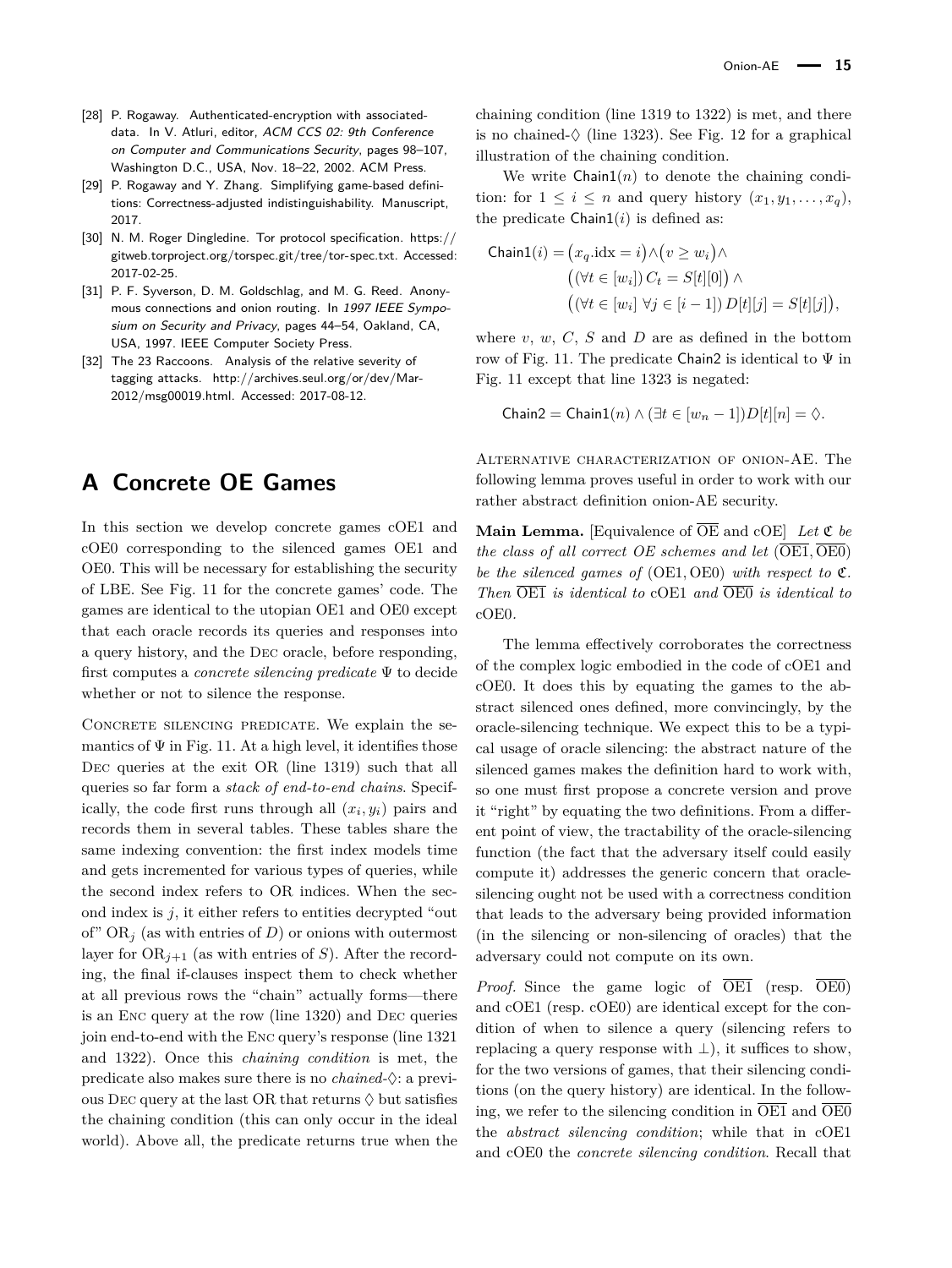- <span id="page-14-1"></span>[28] P. Rogaway. Authenticated-encryption with associateddata. In V. Atluri, editor, ACM CCS 02: 9th Conference on Computer and Communications Security, pages 98–107, Washington D.C., USA, Nov. 18–22, 2002. ACM Press.
- <span id="page-14-2"></span>[29] P. Rogaway and Y. Zhang. Simplifying game-based definitions: Correctness-adjusted indistinguishability. Manuscript, 2017.
- <span id="page-14-3"></span>[30] N. M. Roger Dingledine. Tor protocol specification. [https://](https://gitweb.torproject.org/torspec.git/tree/tor-spec.txt) [gitweb.torproject.org/torspec.git/tree/tor-spec.txt.](https://gitweb.torproject.org/torspec.git/tree/tor-spec.txt) Accessed: 2017-02-25.
- <span id="page-14-0"></span>[31] P. F. Syverson, D. M. Goldschlag, and M. G. Reed. Anonymous connections and onion routing. In 1997 IEEE Symposium on Security and Privacy, pages 44–54, Oakland, CA, USA, 1997. IEEE Computer Society Press.
- <span id="page-14-4"></span>[32] The 23 Raccoons. Analysis of the relative severity of tagging attacks. [http://archives.seul.org/or/dev/Mar-](http://archives.seul.org/or/dev/Mar-2012/msg00019.html)[2012/msg00019.html.](http://archives.seul.org/or/dev/Mar-2012/msg00019.html) Accessed: 2017-08-12.

# **A Concrete OE Games**

In this section we develop concrete games cOE1 and cOE0 corresponding to the silenced games OE1 and OE0. This will be necessary for establishing the security of LBE. See Fig. [11](#page-15-0) for the concrete games' code. The games are identical to the utopian OE1 and OE0 except that each oracle records its queries and responses into a query history, and the Dec oracle, before responding, first computes a *concrete silencing predicate* Ψ to decide whether or not to silence the response.

Concrete silencing predicate. We explain the semantics of  $\Psi$  in Fig. [11.](#page-15-0) At a high level, it identifies those DEC queries at the exit OR (line 1319) such that all queries so far form a *stack of end-to-end chains*. Specifically, the code first runs through all  $(x_i, y_i)$  pairs and records them in several tables. These tables share the same indexing convention: the first index models time and gets incremented for various types of queries, while the second index refers to OR indices. When the second index is *j*, it either refers to entities decrypted "out of"  $OR<sub>j</sub>$  (as with entries of *D*) or onions with outermost layer for  $OR_{i+1}$  (as with entries of *S*). After the recording, the final if-clauses inspect them to check whether at all previous rows the "chain" actually forms—there is an Enc query at the row (line 1320) and Dec queries join end-to-end with the Enc query's response (line 1321 and 1322). Once this *chaining condition* is met, the predicate also makes sure there is no *chained-*♦: a previous DEC query at the last OR that returns  $\Diamond$  but satisfies the chaining condition (this can only occur in the ideal world). Above all, the predicate returns true when the

chaining condition (line 1319 to 1322) is met, and there is no chained- $\Diamond$  (line 1323). See Fig. [12](#page-15-1) for a graphical illustration of the chaining condition.

We write  $Chain1(n)$  to denote the chaining condition: for  $1 \leq i \leq n$  and query history  $(x_1, y_1, \ldots, x_q)$ , the predicate  $Chain1(i)$  is defined as:

$$
\text{Chain1}(i) = (x_q.\text{idx} = i) \land (v \ge w_i) \land
$$

$$
((\forall t \in [w_i]) C_t = S[t][0]) \land
$$

$$
((\forall t \in [w_i] \ \forall j \in [i-1]) D[t][j] = S[t][j]),
$$

where *v*, *w*, *C*, *S* and *D* are as defined in the bottom row of Fig. [11.](#page-15-0) The predicate Chain2 is identical to  $\Psi$  in Fig. [11](#page-15-0) except that line 1323 is negated:

$$
Chain2 = Chain1(n) \land (\exists t \in [w_n - 1])D[t][n] = \Diamond.
$$

Alternative characterization of onion-AE. The following lemma proves useful in order to work with our rather abstract definition onion-AE security.

**Main Lemma.** [Equivalence of  $\overline{OE}$  and  $cOE$ ] *Let*  $\mathfrak{C}$  *be the class of all correct OE schemes and let* (OE1*,* OE0) *be the silenced games of* (OE1*,* OE0) *with respect to* C*. Then* OE1 *is identical to* cOE1 *and* OE0 *is identical to* cOE0*.*

The lemma effectively corroborates the correctness of the complex logic embodied in the code of cOE1 and cOE0. It does this by equating the games to the abstract silenced ones defined, more convincingly, by the oracle-silencing technique. We expect this to be a typical usage of oracle silencing: the abstract nature of the silenced games makes the definition hard to work with, so one must first propose a concrete version and prove it "right" by equating the two definitions. From a different point of view, the tractability of the oracle-silencing function (the fact that the adversary itself could easily compute it) addresses the generic concern that oraclesilencing ought not be used with a correctness condition that leads to the adversary being provided information (in the silencing or non-silencing of oracles) that the adversary could not compute on its own.

*Proof.* Since the game logic of  $\overline{OE1}$  (resp.  $\overline{OE0}$ ) and cOE1 (resp. cOE0) are identical except for the condition of when to silence a query (silencing refers to replacing a query response with  $\perp$ ), it suffices to show, for the two versions of games, that their silencing conditions (on the query history) are identical. In the following, we refer to the silencing condition in OE1 and OE0 the *abstract silencing condition*; while that in cOE1 and cOE0 the *concrete silencing condition*. Recall that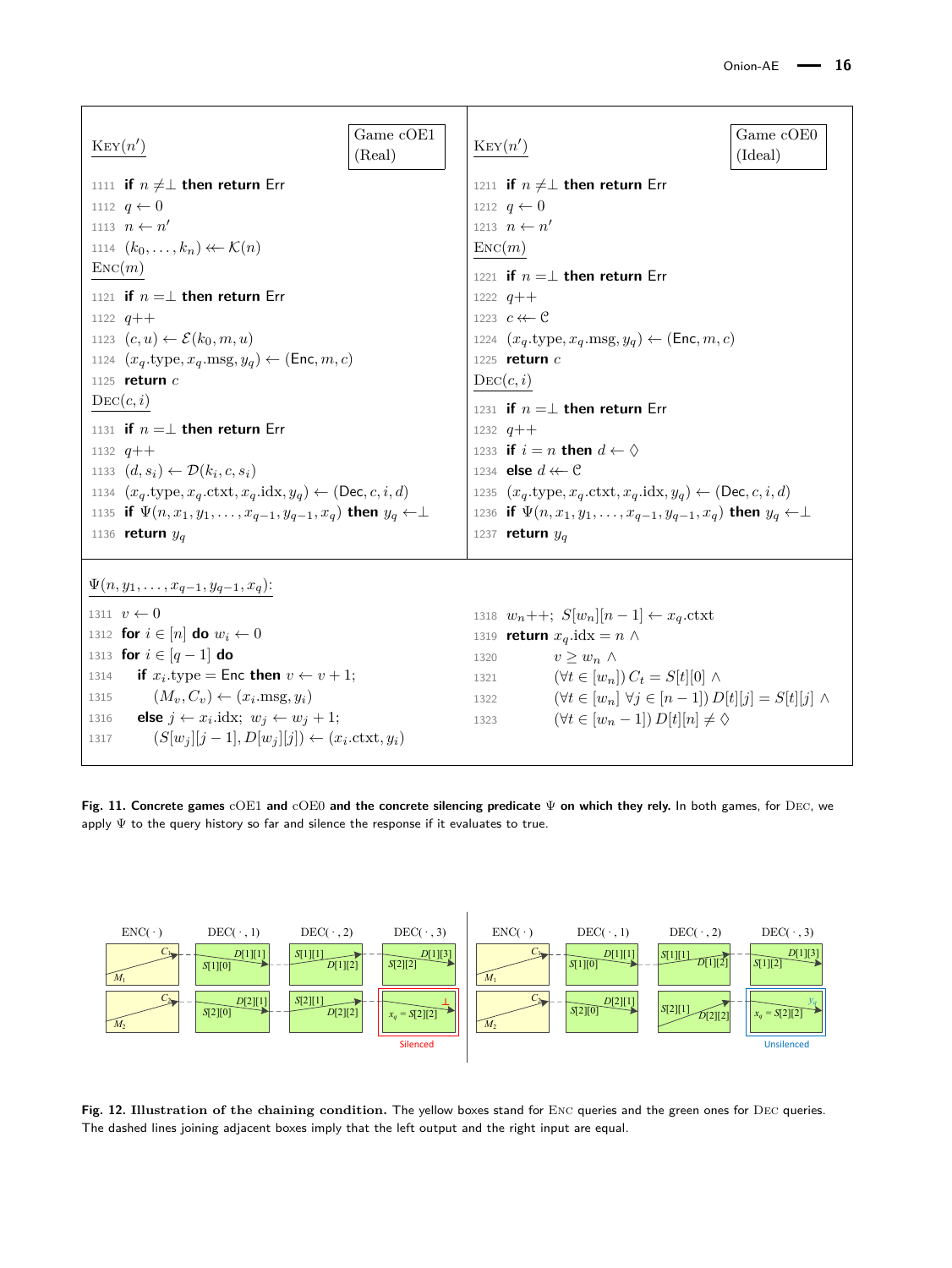<span id="page-15-0"></span>

| Game cOE1<br>$\text{Key}(n')$<br>(Real)<br>1111 if $n \neq \perp$ then return Err<br>1112 $q \leftarrow 0$<br>1113 $n \leftarrow n'$<br>1114 $(k_0,\ldots,k_n) \leftarrow \mathcal{K}(n)$<br>$\text{Enc}(m)$<br>1121 if $n = \perp$ then return Err<br>1122 $q$ ++<br>1123 $(c, u) \leftarrow \mathcal{E}(k_0, m, u)$<br>1124 $(x_q, \text{type}, x_q, \text{msg}, y_q) \leftarrow (\text{Enc}, m, c)$<br>1125 return $c$<br>$\mathrm{Dec}(c, i)$<br>1131 if $n = \perp$ then return Err<br>1132 $q$ ++<br>1133 $(d, s_i) \leftarrow \mathcal{D}(k_i, c, s_i)$<br>1134 $(x_q.\text{type}, x_q.\text{ctxt}, x_q.\text{idx}, y_q) \leftarrow (\text{Dec}, c, i, d)$<br>1135 if $\Psi(n, x_1, y_1, \ldots, x_{q-1}, y_{q-1}, x_q)$ then $y_q \leftarrow \perp$ | Game cOE0<br>$\text{Key}(n')$<br>(Ideal)<br>1211 if $n \neq \perp$ then return Err<br>1212 $q \leftarrow 0$<br>1213 $n \leftarrow n'$<br>$\text{Enc}(m)$<br>1221 if $n = \perp$ then return Err<br>1222 $q$ ++<br>1223 $c \leftarrow c$<br>1224 $(x_q.\text{type}, x_q.\text{msg}, y_q) \leftarrow (\text{Enc}, m, c)$<br>1225 return $c$<br>$\mathrm{Dec}(c,i)$<br>1231 if $n = \perp$ then return Err<br>1232 $q$ ++<br>1233 if $i = n$ then $d \leftarrow \Diamond$<br>1234 <b>else</b> $d \leftarrow C$<br>1235 $(x_q.\text{type}, x_q.\text{ctxt}, x_q.\text{idx}, y_q) \leftarrow (\text{Dec}, c, i, d)$<br>1236 if $\Psi(n, x_1, y_1, \ldots, x_{q-1}, y_{q-1}, x_q)$ then $y_q \leftarrow \perp$ |
|-------------------------------------------------------------------------------------------------------------------------------------------------------------------------------------------------------------------------------------------------------------------------------------------------------------------------------------------------------------------------------------------------------------------------------------------------------------------------------------------------------------------------------------------------------------------------------------------------------------------------------------------------------------------------------------------------------------------------------------------------------------|----------------------------------------------------------------------------------------------------------------------------------------------------------------------------------------------------------------------------------------------------------------------------------------------------------------------------------------------------------------------------------------------------------------------------------------------------------------------------------------------------------------------------------------------------------------------------------------------------------------------------------------------------------------------------------------------------------|
| 1136 return $y_q$                                                                                                                                                                                                                                                                                                                                                                                                                                                                                                                                                                                                                                                                                                                                           | 1237 return $y_q$                                                                                                                                                                                                                                                                                                                                                                                                                                                                                                                                                                                                                                                                                        |
| $\Psi(n, y_1, \ldots, x_{q-1}, y_{q-1}, x_q)$ :<br>1311 $v \leftarrow 0$<br>1312 for $i \in [n]$ do $w_i \leftarrow 0$<br>1313 for $i \in [q-1]$ do<br>if $x_i$ type = Enc then $v \leftarrow v + 1$ ;<br>1314<br>$(M_v, C_v) \leftarrow (x_i \text{.msg}, y_i)$<br>1315<br><b>else</b> $j \leftarrow x_i$ .idx; $w_j \leftarrow w_j + 1$ ;<br>1316<br>$(S[w_j][j-1], D[w_j][j]) \leftarrow (x_i.\text{ctxt}, y_i)$<br>1317                                                                                                                                                                                                                                                                                                                                 | 1318 $w_n$ ++; $S[w_n][n-1] \leftarrow x_q$ .ctxt<br>1319 <b>return</b> $x_q$ .idx = $n \wedge$<br>$v > w_n \wedge$<br>1320<br>1321 $(\forall t \in [w_n]) C_t = S[t][0] \wedge$<br>$(\forall t \in [w_n] \ \forall j \in [n-1]) D[t][j] = S[t][j] \ \land$<br>1322<br>$(\forall t \in [w_n-1]) D[t][n] \neq \Diamond$<br>1323                                                                                                                                                                                                                                                                                                                                                                           |

**Fig. 11. Concrete games** cOE1 **and** cOE0 **and the concrete silencing predicate** Ψ **on which they rely.** In both games, for Dec, we apply  $\Psi$  to the query history so far and silence the response if it evaluates to true.

<span id="page-15-1"></span>

**Fig. 12. Illustration of the chaining condition.** The yellow boxes stand for Enc queries and the green ones for Dec queries. The dashed lines joining adjacent boxes imply that the left output and the right input are equal.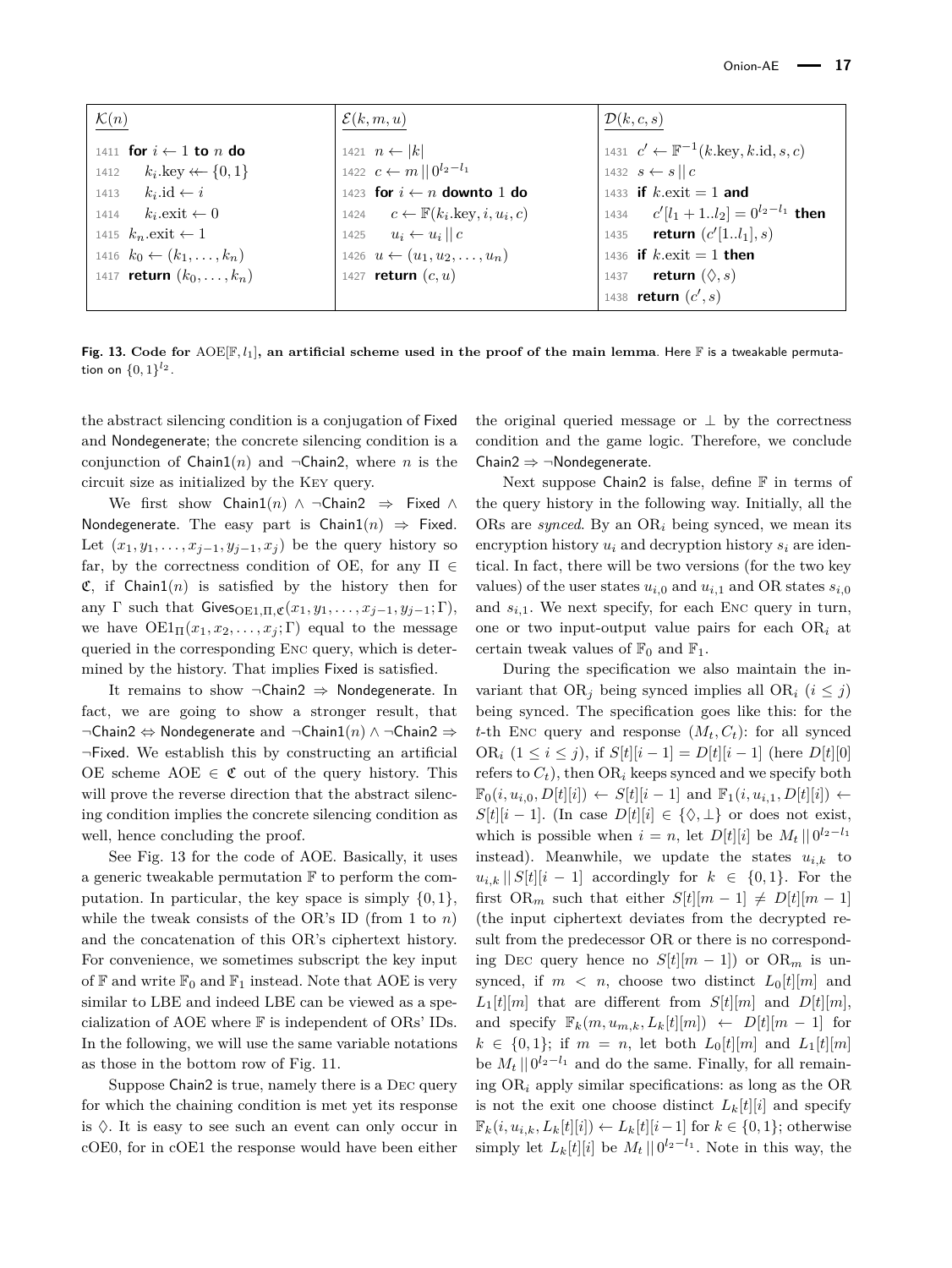<span id="page-16-0"></span>

| $\mathcal{K}(n)$                         | $\mathcal{E}(k,m,u)$                                              | $\mathcal{D}(k,c,s)$                                                  |
|------------------------------------------|-------------------------------------------------------------------|-----------------------------------------------------------------------|
| 1411 for $i \leftarrow 1$ to n do        |                                                                   | 1431 $c' \leftarrow \mathbb{F}^{-1}(k.\text{key}, k.\text{id}, s, c)$ |
| $k_i$ .key $\leftarrow \{0,1\}$<br>1412  | 1421 $n \leftarrow  k $<br>1422 $c \leftarrow m    0^{l_2 - l_1}$ | 1432 $s \leftarrow s    c$                                            |
| $k_i$ .id $\leftarrow i$<br>1413         | 1423 for $i \leftarrow n$ downto 1 do                             | 1433 if $k$ , exit = 1 and                                            |
| $k_i$ . exit $\leftarrow 0$<br>1414      | 1424 $c \leftarrow \mathbb{F}(k_i.\text{key}, i, u_i, c)$         | 1434 $c'$ [ $l_1 + 1l_2$ ] = $0^{l_2-l_1}$ then                       |
| 1415 $k_n$ . exit $\leftarrow$ 1         | 1425 $u_i \leftarrow u_i    c$                                    | 1435 <b>return</b> $(c'[1l_1], s)$                                    |
| 1416 $k_0 \leftarrow (k_1, \ldots, k_n)$ | 1426 $u \leftarrow (u_1, u_2, \dots, u_n)$                        | 1436 if $k$ exit = 1 then                                             |
| 1417 <b>return</b> $(k_0, , k_n)$        | 1427 <b>return</b> $(c, u)$                                       | 1437 <b>return</b> $(\Diamond, s)$                                    |
|                                          |                                                                   | 1438 <b>return</b> $(c', s)$                                          |

**Fig. 13. Code for** AOE[F*, l*1]**, an artificial scheme used in the proof of the main lemma**. Here F is a tweakable permutation on  $\{0, 1\}^{l_2}$ .

the abstract silencing condition is a conjugation of Fixed and Nondegenerate; the concrete silencing condition is a conjunction of  $Chain1(n)$  and  $\neg Chain2$ , where *n* is the circuit size as initialized by the Key query.

We first show Chain1(*n*) ∧ ¬Chain2 ⇒ Fixed ∧ Nondegenerate. The easy part is  $Chain1(n) \Rightarrow$  Fixed. Let  $(x_1, y_1, \ldots, x_{i-1}, y_{i-1}, x_i)$  be the query history so far, by the correctness condition of OE, for any  $\Pi \in$  $\mathfrak{C}$ , if Chain1(*n*) is satisfied by the history then for any  $\Gamma$  such that  $\text{Gives}_{\text{OE1},\Pi,\mathfrak{C}}(x_1,y_1,\ldots,x_{j-1},y_{j-1};\Gamma),$ we have  $OE1_{\Pi}(x_1, x_2, \ldots, x_j; \Gamma)$  equal to the message queried in the corresponding Enc query, which is determined by the history. That implies Fixed is satisfied.

It remains to show  $\neg$ Chain2  $\Rightarrow$  Nondegenerate. In fact, we are going to show a stronger result, that ¬Chain2 ⇔ Nondegenerate and ¬Chain1(*n*) ∧ ¬Chain2 ⇒ ¬Fixed. We establish this by constructing an artificial OE scheme AOE  $\in \mathfrak{C}$  out of the query history. This will prove the reverse direction that the abstract silencing condition implies the concrete silencing condition as well, hence concluding the proof.

See Fig. [13](#page-16-0) for the code of AOE. Basically, it uses a generic tweakable permutation  $\mathbb F$  to perform the computation. In particular, the key space is simply  $\{0, 1\}$ , while the tweak consists of the OR's ID (from 1 to *n*) and the concatenation of this OR's ciphertext history. For convenience, we sometimes subscript the key input of  $\mathbb F$  and write  $\mathbb F_0$  and  $\mathbb F_1$  instead. Note that AOE is very similar to LBE and indeed LBE can be viewed as a specialization of AOE where F is independent of ORs' IDs. In the following, we will use the same variable notations as those in the bottom row of Fig. [11.](#page-15-0)

Suppose Chain2 is true, namely there is a Dec query for which the chaining condition is met yet its response is  $\Diamond$ . It is easy to see such an event can only occur in cOE0, for in cOE1 the response would have been either

the original queried message or  $\perp$  by the correctness condition and the game logic. Therefore, we conclude Chain2  $\Rightarrow \neg$ Nondegenerate.

Next suppose Chain2 is false, define  $F$  in terms of the query history in the following way. Initially, all the ORs are *synced*. By an OR*<sup>i</sup>* being synced, we mean its encryption history *u<sup>i</sup>* and decryption history *s<sup>i</sup>* are identical. In fact, there will be two versions (for the two key values) of the user states  $u_{i,0}$  and  $u_{i,1}$  and OR states  $s_{i,0}$ and  $s_{i,1}$ . We next specify, for each Enc query in turn, one or two input-output value pairs for each OR*<sup>i</sup>* at certain tweak values of  $\mathbb{F}_0$  and  $\mathbb{F}_1$ .

During the specification we also maintain the invariant that  $OR_i$  being synced implies all  $OR_i$  ( $i \leq j$ ) being synced. The specification goes like this: for the *t*-th Enc query and response  $(M_t, C_t)$ : for all synced OR<sub>*i*</sub>  $(1 \le i \le j)$ , if  $S[t][i-1] = D[t][i-1]$  (here  $D[t][0]$ refers to  $C_t$ ), then  $OR_i$  keeps synced and we specify both  $\mathbb{F}_0(i, u_{i,0}, D[t][i]) \leftarrow S[t][i-1] \text{ and } \mathbb{F}_1(i, u_{i,1}, D[t][i]) \leftarrow$  $S[t][i-1]$ . (In case  $D[t][i] \in \{\Diamond, \bot\}$  or does not exist, which is possible when  $i = n$ , let  $D[t][i]$  be  $M_t \mid 0^{l_2-l_1}$ instead). Meanwhile, we update the states  $u_{i,k}$  to  $u_{i,k}$  ||  $S[t][i-1]$  accordingly for  $k \in \{0,1\}$ . For the first OR<sub>*m*</sub> such that either  $S[t][m-1] \neq D[t][m-1]$ (the input ciphertext deviates from the decrypted result from the predecessor OR or there is no corresponding DEC query hence no  $S[t][m-1]$  or  $OR_m$  is unsynced, if  $m < n$ , choose two distinct  $L_0[t][m]$  and  $L_1[t][m]$  that are different from  $S[t][m]$  and  $D[t][m]$ , and specify  $\mathbb{F}_k(m, u_{m,k}, L_k[t][m]) \leftarrow D[t][m-1]$  for  $k \in \{0, 1\}$ ; if  $m = n$ , let both  $L_0[t][m]$  and  $L_1[t][m]$ be  $M_t \, || \, 0^{l_2 - l_1}$  and do the same. Finally, for all remaining OR*<sup>i</sup>* apply similar specifications: as long as the OR is not the exit one choose distinct  $L_k[t][i]$  and specify  $\mathbb{F}_k(i, u_{i,k}, L_k[t][i]) \leftarrow L_k[t][i-1]$  for  $k \in \{0, 1\}$ ; otherwise simply let  $L_k[t][i]$  be  $M_t \mid 0^{l_2-l_1}$ . Note in this way, the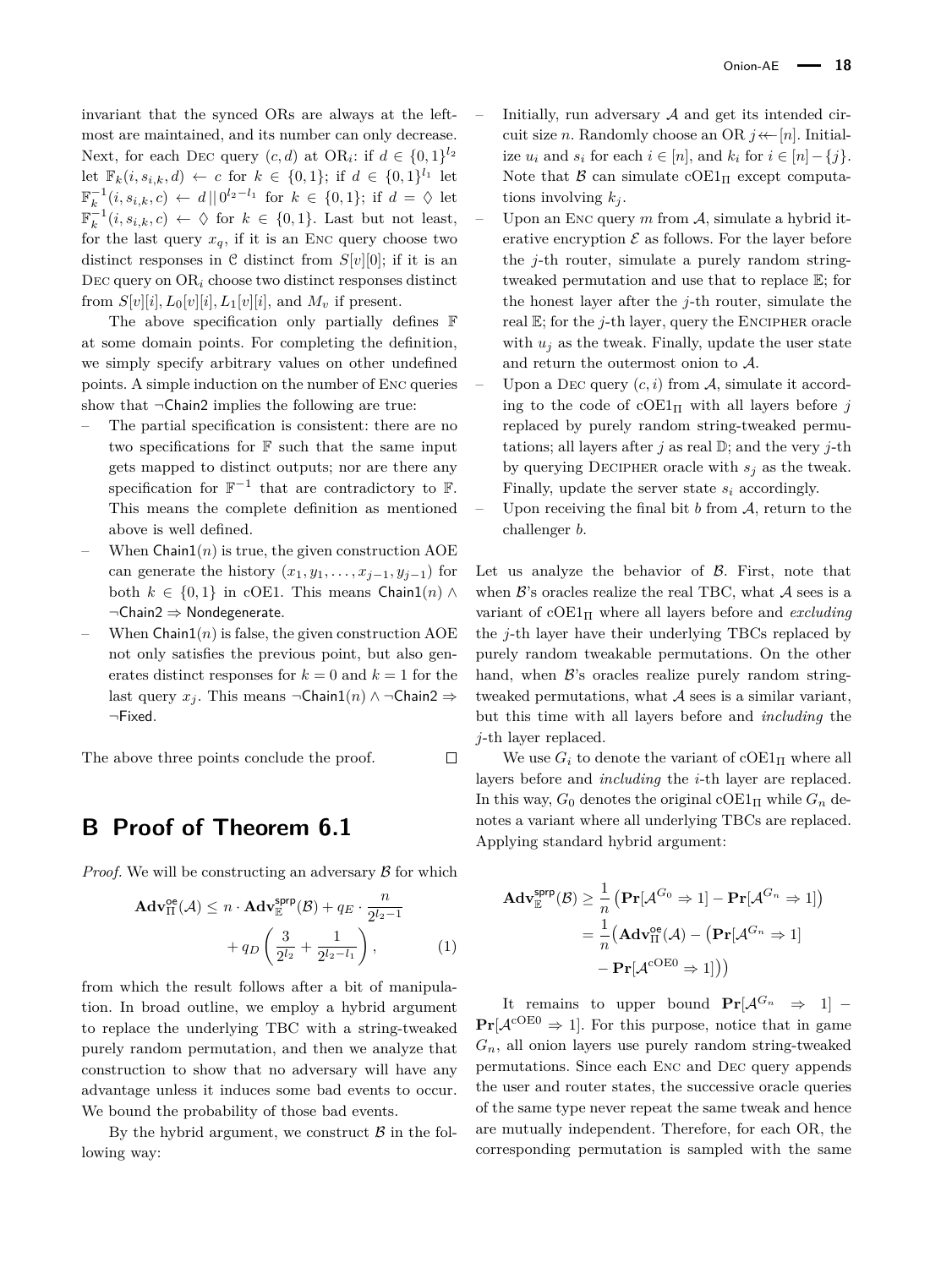invariant that the synced ORs are always at the leftmost are maintained, and its number can only decrease. Next, for each DEC query  $(c, d)$  at OR<sub>i</sub>: if  $d \in \{0, 1\}^{l_2}$ let  $\mathbb{F}_k(i, s_{i,k}, d) \leftarrow c$  for  $k \in \{0, 1\}$ ; if  $d \in \{0, 1\}^{l_1}$  let  $\mathbb{F}_{k}^{-1}(i, s_{i,k}, c)$  ← *d* ||  $0^{l_2 - l_1}$  for  $k \in \{0, 1\}$ ; if  $d = ∅$  let  $\mathbb{F}_k^{-1}(i, s_{i,k}, c) \leftarrow \Diamond$  for  $k \in \{0, 1\}$ . Last but not least, for the last query  $x_q$ , if it is an Enc query choose two distinct responses in  $\mathcal C$  distinct from  $S[v][0]$ ; if it is an Dec query on OR*<sup>i</sup>* choose two distinct responses distinct from  $S[v][i], L_0[v][i], L_1[v][i]$ , and  $M_v$  if present.

The above specification only partially defines F at some domain points. For completing the definition, we simply specify arbitrary values on other undefined points. A simple induction on the number of Enc queries show that  $\neg$ Chain2 implies the following are true:

- The partial specification is consistent: there are no two specifications for  $F$  such that the same input gets mapped to distinct outputs; nor are there any specification for  $\mathbb{F}^{-1}$  that are contradictory to  $\mathbb{F}$ . This means the complete definition as mentioned above is well defined.
- When  $Chain1(n)$  is true, the given construction  $AOE$ can generate the history  $(x_1, y_1, \ldots, x_{i-1}, y_{i-1})$  for both  $k \in \{0,1\}$  in cOE1. This means Chain1(*n*) ∧ ¬Chain2 ⇒ Nondegenerate.
- When  $Chain1(n)$  is false, the given construction AOE not only satisfies the previous point, but also generates distinct responses for  $k = 0$  and  $k = 1$  for the last query *x*<sub>*j*</sub>. This means  $\neg$ Chain1(*n*) ∧  $\neg$ Chain2  $\Rightarrow$ ¬Fixed.

The above three points conclude the proof.  $\Box$ 

# <span id="page-17-0"></span>**B Proof of Theorem [6.1](#page-7-0)**

*Proof.* We will be constructing an adversary  $\beta$  for which

$$
\mathbf{Adv}_{\Pi}^{\mathsf{oe}}(\mathcal{A}) \le n \cdot \mathbf{Adv}_{\mathbb{E}}^{\mathsf{sprp}}(\mathcal{B}) + q_E \cdot \frac{n}{2^{l_2 - 1}} + q_D \left( \frac{3}{2^{l_2}} + \frac{1}{2^{l_2 - l_1}} \right), \tag{1}
$$

from which the result follows after a bit of manipulation. In broad outline, we employ a hybrid argument to replace the underlying TBC with a string-tweaked purely random permutation, and then we analyze that construction to show that no adversary will have any advantage unless it induces some bad events to occur. We bound the probability of those bad events.

By the hybrid argument, we construct  $\beta$  in the following way:

Initially, run adversary  $A$  and get its intended circuit size *n*. Randomly choose an OR  $j \leftarrow [n]$ . Initialize  $u_i$  and  $s_i$  for each  $i \in [n]$ , and  $k_i$  for  $i \in [n] - \{i\}$ . Note that  $\beta$  can simulate cOE1 $_{\text{II}}$  except computations involving  $k_i$ .

- Upon an ENC query *m* from A, simulate a hybrid iterative encryption  $\mathcal E$  as follows. For the layer before the *j*-th router, simulate a purely random stringtweaked permutation and use that to replace E; for the honest layer after the *j*-th router, simulate the real E; for the *j*-th layer, query the Encipher oracle with  $u_j$  as the tweak. Finally, update the user state and return the outermost onion to A.
- Upon a DEC query  $(c, i)$  from A, simulate it according to the code of  $\text{cOE1}_{\Pi}$  with all layers before *j* replaced by purely random string-tweaked permutations; all layers after  $j$  as real  $\mathbb{D}$ ; and the very  $j$ -th by querying DECIPHER oracle with  $s_j$  as the tweak. Finally, update the server state *s<sup>i</sup>* accordingly.
- Upon receiving the final bit  $b$  from  $A$ , return to the challenger *b*.

Let us analyze the behavior of  $\beta$ . First, note that when  $\mathcal{B}$ 's oracles realize the real TBC, what  $\mathcal{A}$  sees is a variant of  $\text{cOE1}_{\Pi}$  where all layers before and *excluding* the *j*-th layer have their underlying TBCs replaced by purely random tweakable permutations. On the other hand, when  $\mathcal{B}$ 's oracles realize purely random stringtweaked permutations, what  $A$  sees is a similar variant, but this time with all layers before and *including* the *j*-th layer replaced.

We use  $G_i$  to denote the variant of cOE1 $\Pi$  where all layers before and *including* the *i*-th layer are replaced. In this way,  $G_0$  denotes the original cOE1 $_{\Pi}$  while  $G_n$  denotes a variant where all underlying TBCs are replaced. Applying standard hybrid argument:

<span id="page-17-1"></span>
$$
\mathbf{Adv}_{\mathbb{E}}^{\mathsf{spp}}(\mathcal{B}) \ge \frac{1}{n} \left( \mathbf{Pr}[\mathcal{A}^{G_0} \Rightarrow 1] - \mathbf{Pr}[\mathcal{A}^{G_n} \Rightarrow 1] \right)
$$

$$
= \frac{1}{n} \left( \mathbf{Adv}_{\Pi}^{\text{oe}}(\mathcal{A}) - \left( \mathbf{Pr}[\mathcal{A}^{G_n} \Rightarrow 1] \right) - \mathbf{Pr}[\mathcal{A}^{\text{CDEO}} \Rightarrow 1] \right)
$$

It remains to upper bound  $Pr[\mathcal{A}^{G_n} \Rightarrow 1]$  –  $\Pr[\mathcal{A}^{\text{cOE0}} \Rightarrow 1]$ . For this purpose, notice that in game  $G_n$ , all onion layers use purely random string-tweaked permutations. Since each Enc and Dec query appends the user and router states, the successive oracle queries of the same type never repeat the same tweak and hence are mutually independent. Therefore, for each OR, the corresponding permutation is sampled with the same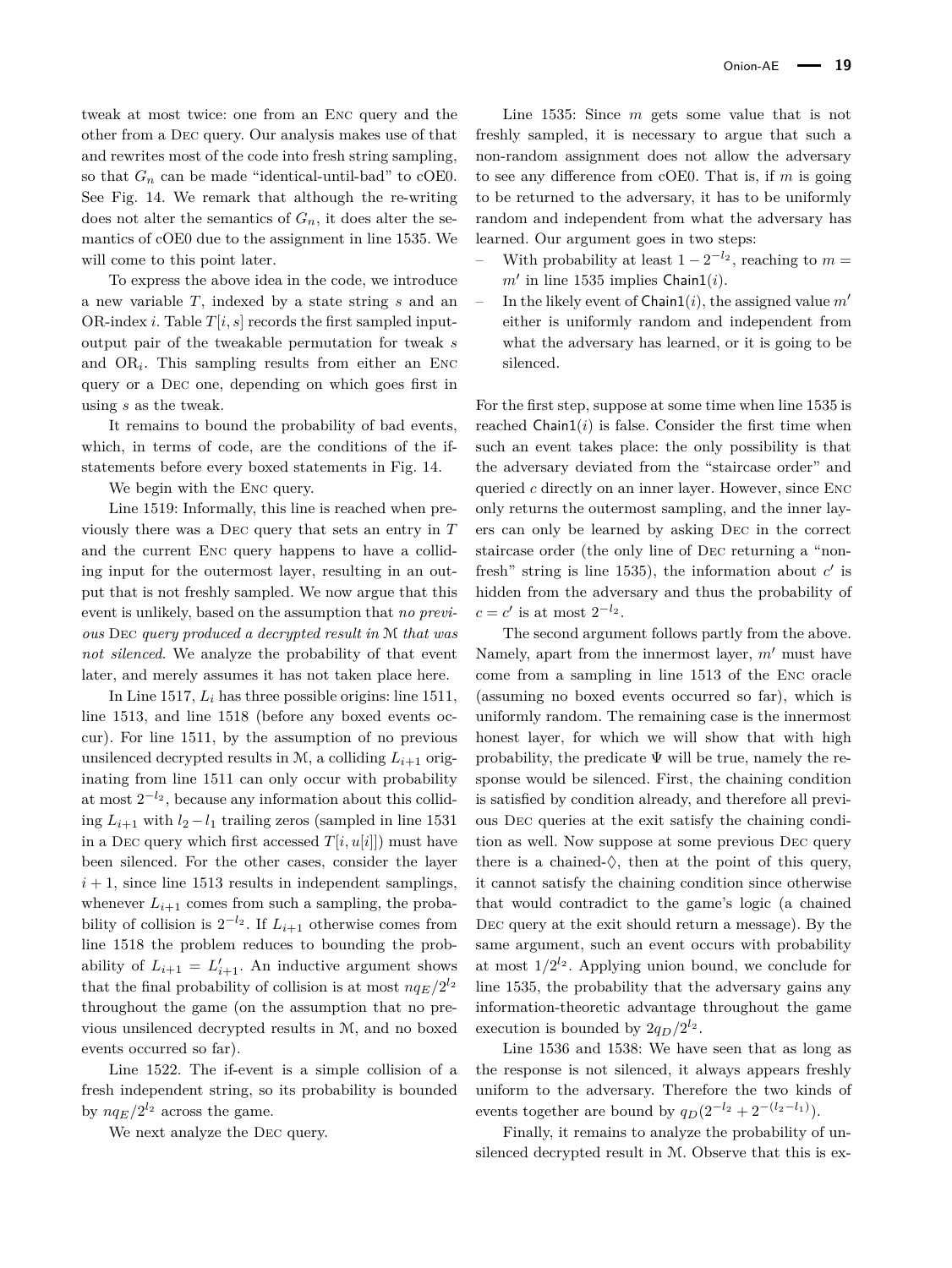tweak at most twice: one from an Enc query and the other from a Dec query. Our analysis makes use of that and rewrites most of the code into fresh string sampling, so that  $G_n$  can be made "identical-until-bad" to cOE0. See Fig. [14.](#page-19-1) We remark that although the re-writing does not alter the semantics of  $G_n$ , it does alter the semantics of cOE0 due to the assignment in line 1535. We will come to this point later.

To express the above idea in the code, we introduce a new variable *T*, indexed by a state string *s* and an OR-index *i*. Table  $T[i, s]$  records the first sampled inputoutput pair of the tweakable permutation for tweak *s* and OR*<sup>i</sup>* . This sampling results from either an Enc query or a Dec one, depending on which goes first in using *s* as the tweak.

It remains to bound the probability of bad events, which, in terms of code, are the conditions of the ifstatements before every boxed statements in Fig. [14.](#page-19-1)

We begin with the ENC query.

Line 1519: Informally, this line is reached when previously there was a Dec query that sets an entry in *T* and the current Enc query happens to have a colliding input for the outermost layer, resulting in an output that is not freshly sampled. We now argue that this event is unlikely, based on the assumption that *no previous* Dec *query produced a decrypted result in* M *that was not silenced*. We analyze the probability of that event later, and merely assumes it has not taken place here.

In Line 1517, *L<sup>i</sup>* has three possible origins: line 1511, line 1513, and line 1518 (before any boxed events occur). For line 1511, by the assumption of no previous unsilenced decrypted results in M, a colliding  $L_{i+1}$  originating from line 1511 can only occur with probability at most  $2^{-l_2}$ , because any information about this colliding  $L_{i+1}$  with  $l_2 - l_1$  trailing zeros (sampled in line 1531) in a DEC query which first accessed  $T[i, u[i]]$  must have been silenced. For the other cases, consider the layer  $i + 1$ , since line 1513 results in independent samplings, whenever  $L_{i+1}$  comes from such a sampling, the probability of collision is  $2^{-l_2}$ . If  $L_{i+1}$  otherwise comes from line 1518 the problem reduces to bounding the probability of  $L_{i+1} = L'_{i+1}$ . An inductive argument shows that the final probability of collision is at most  $nq_E/2^{l_2}$ throughout the game (on the assumption that no previous unsilenced decrypted results in M, and no boxed events occurred so far).

Line 1522. The if-event is a simple collision of a fresh independent string, so its probability is bounded by  $nq_E/2^{l_2}$  across the game.

We next analyze the Dec query.

Line 1535: Since *m* gets some value that is not freshly sampled, it is necessary to argue that such a non-random assignment does not allow the adversary to see any difference from cOE0. That is, if *m* is going to be returned to the adversary, it has to be uniformly random and independent from what the adversary has learned. Our argument goes in two steps:

- With probability at least 1 − 2 <sup>−</sup>*l*<sup>2</sup> , reaching to *m* =  $m'$  in line 1535 implies Chain1(*i*).
- In the likely event of  $Chain1(i)$ , the assigned value  $m<sup>1</sup>$ either is uniformly random and independent from what the adversary has learned, or it is going to be silenced.

For the first step, suppose at some time when line 1535 is reached  $Chain1(i)$  is false. Consider the first time when such an event takes place: the only possibility is that the adversary deviated from the "staircase order" and queried *c* directly on an inner layer. However, since Enc only returns the outermost sampling, and the inner layers can only be learned by asking Dec in the correct staircase order (the only line of Dec returning a "nonfresh" string is line 1535), the information about  $c'$  is hidden from the adversary and thus the probability of  $c = c'$  is at most  $2^{-l_2}$ .

The second argument follows partly from the above. Namely, apart from the innermost layer,  $m'$  must have come from a sampling in line 1513 of the Enc oracle (assuming no boxed events occurred so far), which is uniformly random. The remaining case is the innermost honest layer, for which we will show that with high probability, the predicate  $\Psi$  will be true, namely the response would be silenced. First, the chaining condition is satisfied by condition already, and therefore all previous Dec queries at the exit satisfy the chaining condition as well. Now suppose at some previous Dec query there is a chained- $\Diamond$ , then at the point of this query, it cannot satisfy the chaining condition since otherwise that would contradict to the game's logic (a chained Dec query at the exit should return a message). By the same argument, such an event occurs with probability at most  $1/2^{l_2}$ . Applying union bound, we conclude for line 1535, the probability that the adversary gains any information-theoretic advantage throughout the game execution is bounded by  $2q_D/2^{l_2}$ .

Line 1536 and 1538: We have seen that as long as the response is not silenced, it always appears freshly uniform to the adversary. Therefore the two kinds of events together are bound by  $q_D(2^{-l_2} + 2^{-(l_2 - l_1)})$ .

Finally, it remains to analyze the probability of unsilenced decrypted result in M. Observe that this is ex